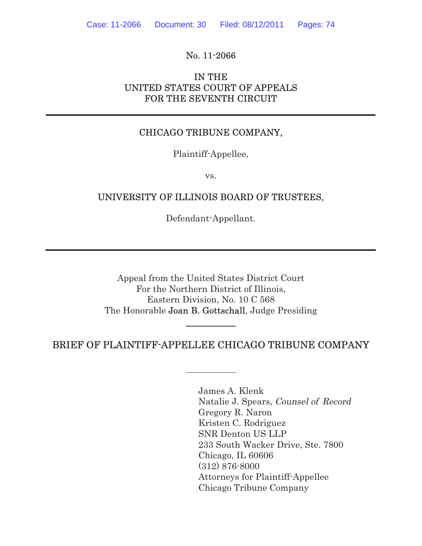# No. 11-2066

# IN THE UNITED STATES COURT OF APPEALS FOR THE SEVENTH CIRCUIT

# CHICAGO TRIBUNE COMPANY,

Plaintiff-Appellee,

vs.

## UNIVERSITY OF ILLINOIS BOARD OF TRUSTEES,

Defendant-Appellant.

Appeal from the United States District Court For the Northern District of Illinois, Eastern Division, No. 10 C 568 The Honorable Joan B. Gottschall, Judge Presiding

## BRIEF OF PLAINTIFF-APPELLEE CHICAGO TRIBUNE COMPANY

James A. Klenk Natalie J. Spears, Counsel of Record Gregory R. Naron Kristen C. Rodriguez SNR Denton US LLP 233 South Wacker Drive, Ste. 7800 Chicago, IL 60606 (312) 876-8000 Attorneys for Plaintiff-Appellee Chicago Tribune Company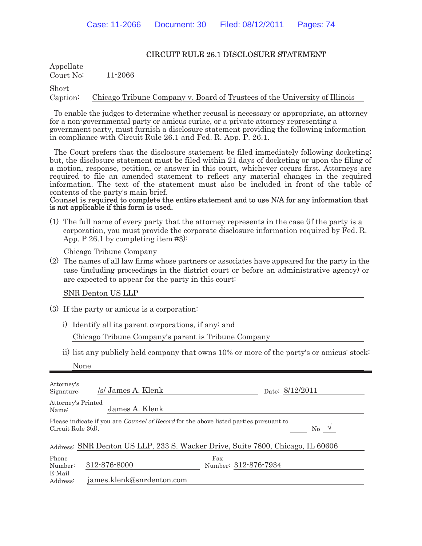Appellate Court No: 11-2066

Short Caption: Chicago Tribune Company v. Board of Trustees of the University of Illinois

To enable the judges to determine whether recusal is necessary or appropriate, an attorney for a non-governmental party or amicus curiae, or a private attorney representing a government party, must furnish a disclosure statement providing the following information in compliance with Circuit Rule 26.1 and Fed. R. App. P. 26.1.

The Court prefers that the disclosure statement be filed immediately following docketing; but, the disclosure statement must be filed within 21 days of docketing or upon the filing of a motion, response, petition, or answer in this court, whichever occurs first. Attorneys are required to file an amended statement to reflect any material changes in the required information. The text of the statement must also be included in front of the table of contents of the party's main brief.

#### Counsel is required to complete the entire statement and to use N/A for any information that is not applicable if this form is used.

(1) The full name of every party that the attorney represents in the case (if the party is a corporation, you must provide the corporate disclosure information required by Fed. R. App. P 26.1 by completing item #3):

Chicago Tribune Company

(2) The names of all law firms whose partners or associates have appeared for the party in the case (including proceedings in the district court or before an administrative agency) or are expected to appear for the party in this court:

SNR Denton US LLP

- (3) If the party or amicus is a corporation:
	- i) Identify all its parent corporations, if any; and

Chicago Tribune Company's parent is Tribune Company

ii) list any publicly held company that owns 10% or more of the party's or amicus' stock:

| Attorney's<br>Signature:    | /s/ James A. Klenk        | Date: 8/12/2011                                                                                               |
|-----------------------------|---------------------------|---------------------------------------------------------------------------------------------------------------|
| Attorney's Printed<br>Name: | James A. Klenk            |                                                                                                               |
| Circuit Rule $3(d)$ .       |                           | Please indicate if you are <i>Counsel of Record</i> for the above listed parties pursuant to<br>No $\sqrt{ }$ |
|                             |                           | Address: SNR Denton US LLP, 233 S. Wacker Drive, Suite 7800, Chicago, IL 60606                                |
| Phone<br>Number:            | 312-876-8000              | Fax<br>Number: 312-876-7934                                                                                   |
| E-Mail<br>Address:          | james.klenk@snrdenton.com |                                                                                                               |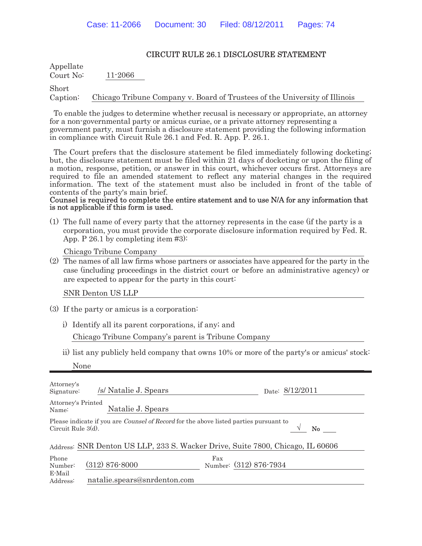Appellate Court No: 11-2066

Short Caption: Chicago Tribune Company v. Board of Trustees of the University of Illinois

To enable the judges to determine whether recusal is necessary or appropriate, an attorney for a non-governmental party or amicus curiae, or a private attorney representing a government party, must furnish a disclosure statement providing the following information in compliance with Circuit Rule 26.1 and Fed. R. App. P. 26.1.

The Court prefers that the disclosure statement be filed immediately following docketing; but, the disclosure statement must be filed within 21 days of docketing or upon the filing of a motion, response, petition, or answer in this court, whichever occurs first. Attorneys are required to file an amended statement to reflect any material changes in the required information. The text of the statement must also be included in front of the table of contents of the party's main brief.

#### Counsel is required to complete the entire statement and to use N/A for any information that is not applicable if this form is used.

(1) The full name of every party that the attorney represents in the case (if the party is a corporation, you must provide the corporate disclosure information required by Fed. R. App. P 26.1 by completing item #3):

Chicago Tribune Company

(2) The names of all law firms whose partners or associates have appeared for the party in the case (including proceedings in the district court or before an administrative agency) or are expected to appear for the party in this court:

SNR Denton US LLP

- (3) If the party or amicus is a corporation:
	- i) Identify all its parent corporations, if any; and

Chicago Tribune Company's parent is Tribune Company

ii) list any publicly held company that owns 10% or more of the party's or amicus' stock:

| Attorney's<br>Signature:    | /s/ Natalie J. Spears        | Date: 8/12/2011                                                                                    |
|-----------------------------|------------------------------|----------------------------------------------------------------------------------------------------|
| Attorney's Printed<br>Name: | Natalie J. Spears            |                                                                                                    |
| Circuit Rule $3(d)$ .       |                              | Please indicate if you are <i>Counsel of Record</i> for the above listed parties pursuant to<br>No |
|                             |                              | Address: SNR Denton US LLP, 233 S. Wacker Drive, Suite 7800, Chicago, IL 60606                     |
| Phone<br>Number:            | $(312) 876 - 8000$           | $\frac{\text{Fax}}{\text{Number:}} \frac{(312) 876 - 7934}{600}$                                   |
| E-Mail<br>Address:          | natalie.spears@snrdenton.com |                                                                                                    |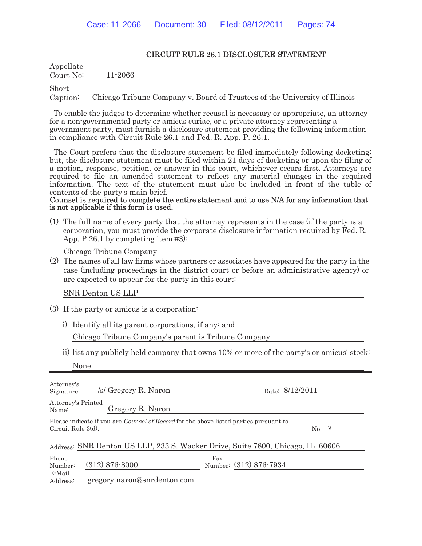Appellate Court No: 11-2066

Short Caption: Chicago Tribune Company v. Board of Trustees of the University of Illinois

To enable the judges to determine whether recusal is necessary or appropriate, an attorney for a non-governmental party or amicus curiae, or a private attorney representing a government party, must furnish a disclosure statement providing the following information in compliance with Circuit Rule 26.1 and Fed. R. App. P. 26.1.

The Court prefers that the disclosure statement be filed immediately following docketing; but, the disclosure statement must be filed within 21 days of docketing or upon the filing of a motion, response, petition, or answer in this court, whichever occurs first. Attorneys are required to file an amended statement to reflect any material changes in the required information. The text of the statement must also be included in front of the table of contents of the party's main brief.

#### Counsel is required to complete the entire statement and to use N/A for any information that is not applicable if this form is used.

(1) The full name of every party that the attorney represents in the case (if the party is a corporation, you must provide the corporate disclosure information required by Fed. R. App. P 26.1 by completing item #3):

Chicago Tribune Company

(2) The names of all law firms whose partners or associates have appeared for the party in the case (including proceedings in the district court or before an administrative agency) or are expected to appear for the party in this court:

SNR Denton US LLP

- (3) If the party or amicus is a corporation:
	- i) Identify all its parent corporations, if any; and

Chicago Tribune Company's parent is Tribune Company

ii) list any publicly held company that owns 10% or more of the party's or amicus' stock:

| Attorney's<br>Signature:    | /s/ Gregory R. Naron        | Date: 8/12/2011                                                                                               |  |
|-----------------------------|-----------------------------|---------------------------------------------------------------------------------------------------------------|--|
| Attorney's Printed<br>Name: | Gregory R. Naron            |                                                                                                               |  |
| Circuit Rule $3(d)$ .       |                             | Please indicate if you are <i>Counsel of Record</i> for the above listed parties pursuant to<br>No $\sqrt{ }$ |  |
|                             |                             | Address: SNR Denton US LLP, 233 S. Wacker Drive, Suite 7800, Chicago, IL 60606                                |  |
| Phone<br>Number:            | $(312)$ 876-8000            | Fax<br>Number: (312) 876-7934                                                                                 |  |
| E-Mail<br>Address:          | gregory.naron@snrdenton.com |                                                                                                               |  |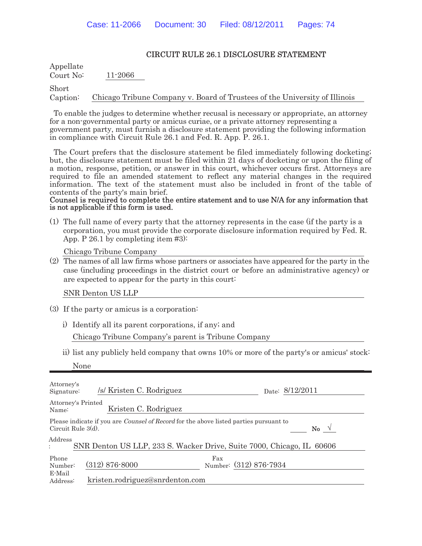Appellate Court No: 11-2066

Short Caption: Chicago Tribune Company v. Board of Trustees of the University of Illinois

To enable the judges to determine whether recusal is necessary or appropriate, an attorney for a non-governmental party or amicus curiae, or a private attorney representing a government party, must furnish a disclosure statement providing the following information in compliance with Circuit Rule 26.1 and Fed. R. App. P. 26.1.

The Court prefers that the disclosure statement be filed immediately following docketing; but, the disclosure statement must be filed within 21 days of docketing or upon the filing of a motion, response, petition, or answer in this court, whichever occurs first. Attorneys are required to file an amended statement to reflect any material changes in the required information. The text of the statement must also be included in front of the table of contents of the party's main brief.

#### Counsel is required to complete the entire statement and to use N/A for any information that is not applicable if this form is used.

(1) The full name of every party that the attorney represents in the case (if the party is a corporation, you must provide the corporate disclosure information required by Fed. R. App. P 26.1 by completing item #3):

Chicago Tribune Company

(2) The names of all law firms whose partners or associates have appeared for the party in the case (including proceedings in the district court or before an administrative agency) or are expected to appear for the party in this court:

SNR Denton US LLP

- (3) If the party or amicus is a corporation:
	- i) Identify all its parent corporations, if any; and

Chicago Tribune Company's parent is Tribune Company

ii) list any publicly held company that owns 10% or more of the party's or amicus' stock:

| Attorney's<br>Signature:    | /s/ Kristen C. Rodriguez                                                                     | Date: 8/12/2011                                                       |
|-----------------------------|----------------------------------------------------------------------------------------------|-----------------------------------------------------------------------|
| Attorney's Printed<br>Name: | Kristen C. Rodriguez                                                                         |                                                                       |
| Circuit Rule 3(d).          | Please indicate if you are <i>Counsel of Record</i> for the above listed parties pursuant to | No $\sqrt{ }$                                                         |
| Address                     |                                                                                              | SNR Denton US LLP, 233 S. Wacker Drive, Suite 7000, Chicago, IL 60606 |
| Phone<br>Number:            | $(312) 876 - 8000$                                                                           | Fax<br>Number: (312) 876-7934                                         |
| E-Mail<br>Address:          | kristen.rodriguez@snrdenton.com                                                              |                                                                       |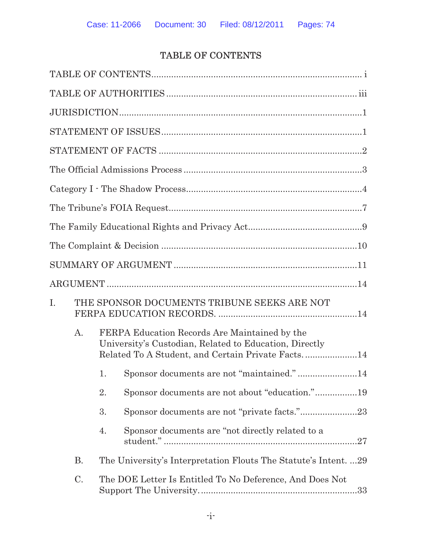# TABLE OF CONTENTS

| I. |           |    | THE SPONSOR DOCUMENTS TRIBUNE SEEKS ARE NOT                                                                                                                  |
|----|-----------|----|--------------------------------------------------------------------------------------------------------------------------------------------------------------|
|    | A.        |    | FERPA Education Records Are Maintained by the<br>University's Custodian, Related to Education, Directly<br>Related To A Student, and Certain Private Facts14 |
|    |           | 1. | Sponsor documents are not "maintained."14                                                                                                                    |
|    |           | 2. | Sponsor documents are not about "education."19                                                                                                               |
|    |           | 3. | Sponsor documents are not "private facts."23                                                                                                                 |
|    |           | 4. | Sponsor documents are "not directly related to a                                                                                                             |
|    | <b>B.</b> |    | The University's Interpretation Flouts The Statute's Intent29                                                                                                |
|    | C.        |    | The DOE Letter Is Entitled To No Deference, And Does Not                                                                                                     |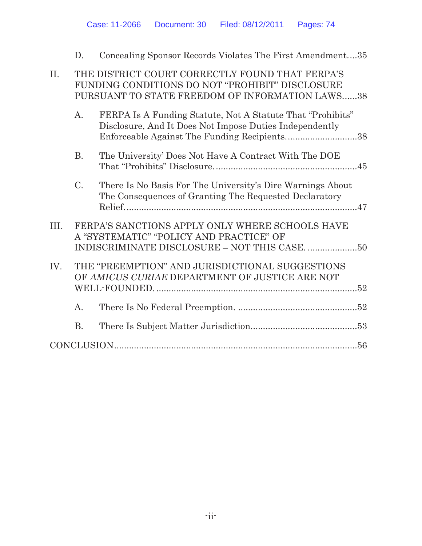|      | D.             | Concealing Sponsor Records Violates The First Amendment35                                                                                                             |
|------|----------------|-----------------------------------------------------------------------------------------------------------------------------------------------------------------------|
| II.  |                | THE DISTRICT COURT CORRECTLY FOUND THAT FERPA'S<br>FUNDING CONDITIONS DO NOT "PROHIBIT" DISCLOSURE<br>PURSUANT TO STATE FREEDOM OF INFORMATION LAWS38                 |
|      | $A_{\cdot}$    | FERPA Is A Funding Statute, Not A Statute That "Prohibits"<br>Disclosure, And It Does Not Impose Duties Independently<br>Enforceable Against The Funding Recipients38 |
|      | B <sub>1</sub> | The University' Does Not Have A Contract With The DOE                                                                                                                 |
|      | $C_{\cdot}$    | There Is No Basis For The University's Dire Warnings About<br>The Consequences of Granting The Requested Declaratory                                                  |
| III. |                | FERPA'S SANCTIONS APPLY ONLY WHERE SCHOOLS HAVE<br>A "SYSTEMATIC" "POLICY AND PRACTICE" OF                                                                            |
|      |                |                                                                                                                                                                       |
| IV.  |                | THE "PREEMPTION" AND JURISDICTIONAL SUGGESTIONS<br>OF AMICUS CURIAE DEPARTMENT OF JUSTICE ARE NOT                                                                     |
|      | $\mathbf{A}$ . |                                                                                                                                                                       |
|      | <b>B.</b>      |                                                                                                                                                                       |
|      | CONCLUSION     |                                                                                                                                                                       |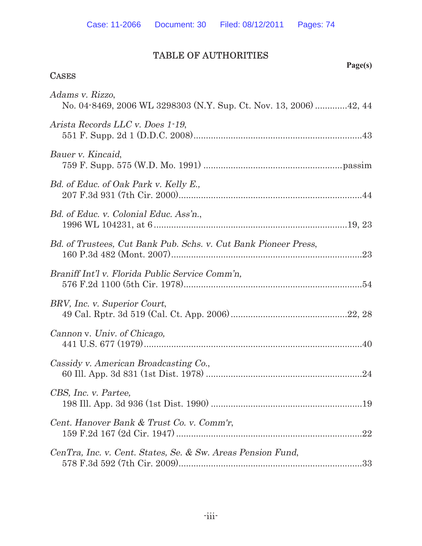# TABLE OF AUTHORITIES

# **Page(s) CASES** Adams v. Rizzo, No. 04-8469, 2006 WL 3298303 (N.Y. Sup. Ct. Nov. 13, 2006) .............42, 44 Arista Records LLC v. Does 1-19, 551 F. Supp. 2d 1 (D.D.C. 2008)....................................................................43 Bauer v. Kincaid, 759 F. Supp. 575 (W.D. Mo. 1991) ........................................................passim Bd. of Educ. of Oak Park v. Kelly E., 207 F.3d 931 (7th Cir. 2000)..........................................................................44 Bd. of Educ. v. Colonial Educ. Ass'n., 1996 WL 104231, at 6 ..............................................................................19, 23 Bd. of Trustees, Cut Bank Pub. Schs. v. Cut Bank Pioneer Press, 160 P.3d 482 (Mont. 2007).............................................................................23 Braniff Int'l v. Florida Public Service Comm'n, 576 F.2d 1100 (5th Cir. 1978)........................................................................54 BRV, Inc. v. Superior Court, 49 Cal. Rptr. 3d 519 (Cal. Ct. App. 2006)...............................................22, 28 Cannon v. Univ. of Chicago, 441 U.S. 677 (1979)........................................................................................40 Cassidy v. American Broadcasting Co., 60 Ill. App. 3d 831 (1st Dist. 1978) ...............................................................24 CBS, Inc. v. Partee, 198 Ill. App. 3d 936 (1st Dist. 1990) .............................................................19 Cent. Hanover Bank & Trust Co. v. Comm'r, 159 F.2d 167 (2d Cir. 1947) ...........................................................................22 CenTra, Inc. v. Cent. States, Se. & Sw. Areas Pension Fund, 578 F.3d 592 (7th Cir. 2009)..........................................................................33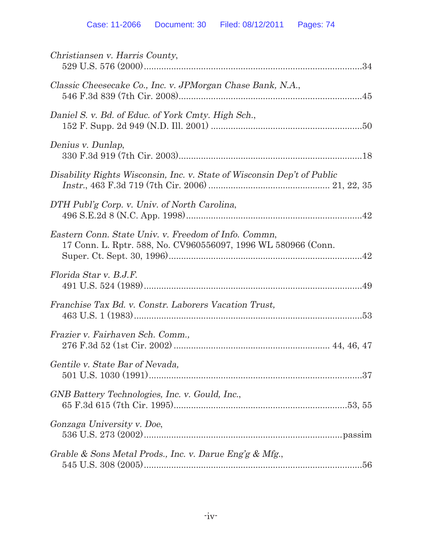| Christiansen v. Harris County,                                                                                        |
|-----------------------------------------------------------------------------------------------------------------------|
| Classic Cheesecake Co., Inc. v. JPMorgan Chase Bank, N.A.,                                                            |
| Daniel S. v. Bd. of Educ. of York Cmty. High Sch.,                                                                    |
| Denius v. Dunlap,                                                                                                     |
| Disability Rights Wisconsin, Inc. v. State of Wisconsin Dep't of Public                                               |
| DTH Publ'g Corp. v. Univ. of North Carolina,                                                                          |
| Eastern Conn. State Univ. v. Freedom of Info. Commn,<br>17 Conn. L. Rptr. 588, No. CV960556097, 1996 WL 580966 (Conn. |
| Florida Star v. B.J.F.                                                                                                |
| Franchise Tax Bd. v. Constr. Laborers Vacation Trust,                                                                 |
| Frazier v. Fairhaven Sch. Comm.,                                                                                      |
| Gentile v. State Bar of Nevada,                                                                                       |
| GNB Battery Technologies, Inc. v. Gould, Inc.,                                                                        |
| Gonzaga University v. Doe,                                                                                            |
| Grable & Sons Metal Prods., Inc. v. Darue Eng'g & Mfg.,                                                               |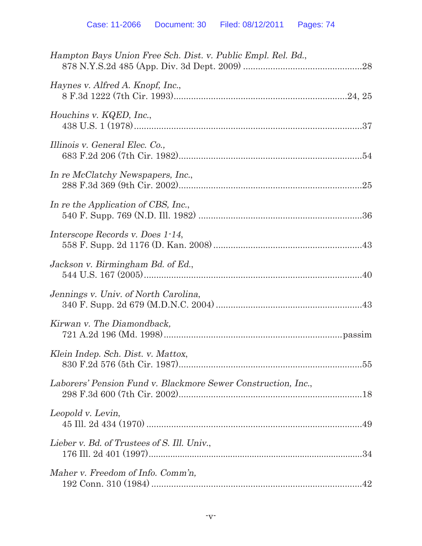| Hampton Bays Union Free Sch. Dist. v. Public Empl. Rel. Bd.,  |
|---------------------------------------------------------------|
| Haynes v. Alfred A. Knopf, Inc.,                              |
| Houchins v. KQED, Inc.,                                       |
| Illinois v. General Elec. Co.,                                |
| In re McClatchy Newspapers, Inc.,                             |
| In re the Application of CBS, Inc.,                           |
| Interscope Records v. Does 1-14,                              |
| Jackson v. Birmingham Bd. of Ed.,                             |
| Jennings v. Univ. of North Carolina,                          |
| Kirwan v. The Diamondback,                                    |
| Klein Indep. Sch. Dist. v. Mattox,                            |
| Laborers' Pension Fund v. Blackmore Sewer Construction, Inc., |
| Leopold v. Levin,                                             |
| Lieber v. Bd. of Trustees of S. Ill. Univ.,                   |
| Maher v. Freedom of Info. Comm'n,                             |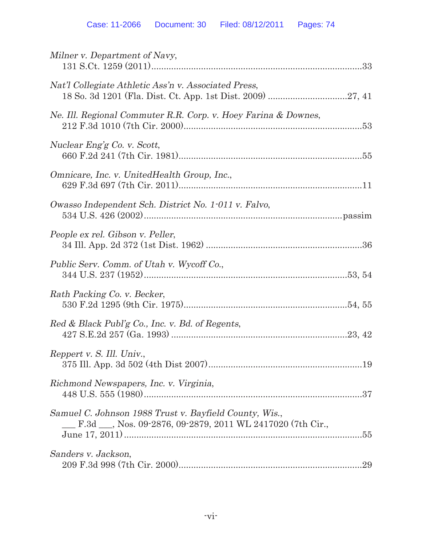| Milner v. Department of Navy,                                                                                        |
|----------------------------------------------------------------------------------------------------------------------|
| Nat'l Collegiate Athletic Ass'n v. Associated Press,                                                                 |
| Ne. Ill. Regional Commuter R.R. Corp. v. Hoey Farina & Downes,                                                       |
| Nuclear Eng'g Co. v. Scott,                                                                                          |
| Omnicare, Inc. v. UnitedHealth Group, Inc.,                                                                          |
| Owasso Independent Sch. District No. 1-011 v. Falvo,                                                                 |
| People ex rel. Gibson v. Peller,                                                                                     |
| Public Serv. Comm. of Utah v. Wycoff Co.,                                                                            |
| Rath Packing Co. v. Becker,                                                                                          |
| Red & Black Publ'g Co., Inc. v. Bd. of Regents,                                                                      |
| Reppert v. S. Ill. Univ.,                                                                                            |
| Richmond Newspapers, Inc. v. Virginia,                                                                               |
| Samuel C. Johnson 1988 Trust v. Bayfield County, Wis.,<br>E.3d __, Nos. 09-2876, 09-2879, 2011 WL 2417020 (7th Cir., |
| Sanders v. Jackson,                                                                                                  |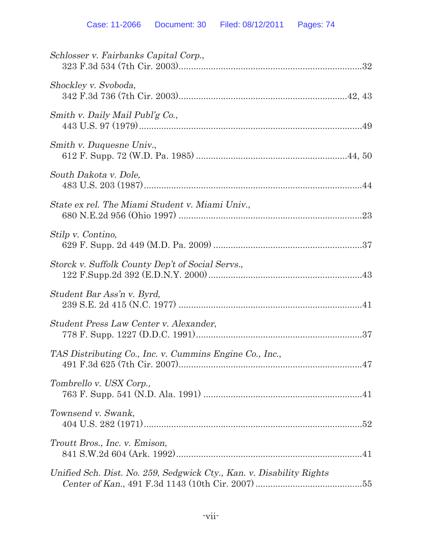| Schlosser v. Fairbanks Capital Corp.,                                |  |
|----------------------------------------------------------------------|--|
| Shockley v. Svoboda,                                                 |  |
| Smith v. Daily Mail Publ'g Co.,                                      |  |
| Smith v. Duquesne Univ.,                                             |  |
| South Dakota v. Dole,                                                |  |
| State ex rel. The Miami Student v. Miami Univ.,                      |  |
| Stilp v. Contino,                                                    |  |
| Storck v. Suffolk County Dep't of Social Servs.,                     |  |
| Student Bar Ass'n v. Byrd,                                           |  |
| Student Press Law Center v. Alexander,                               |  |
| TAS Distributing Co., Inc. v. Cummins Engine Co., Inc.,              |  |
| Tombrello v. USX Corp.,                                              |  |
| Townsend v. Swank,                                                   |  |
| Troutt Bros., Inc. v. Emison,                                        |  |
| Unified Sch. Dist. No. 259, Sedgwick Cty., Kan. v. Disability Rights |  |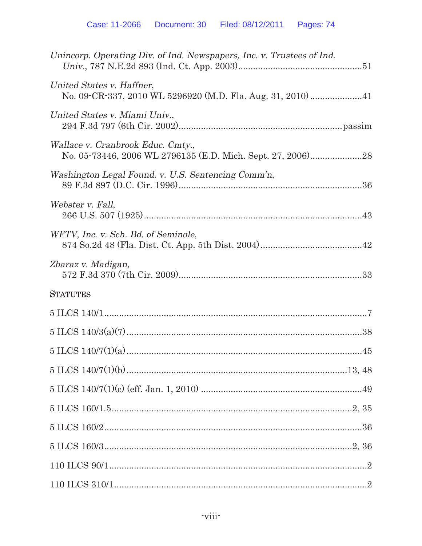| Unincorp. Operating Div. of Ind. Newspapers, Inc. v. Trustees of Ind.                            |
|--------------------------------------------------------------------------------------------------|
| United States v. Haffner,                                                                        |
| United States v. Miami Univ.,                                                                    |
| Wallace v. Cranbrook Educ. Cmty.,<br>No. 05-73446, 2006 WL 2796135 (E.D. Mich. Sept. 27, 2006)28 |
| Washington Legal Found. v. U.S. Sentencing Comm'n,                                               |
| Webster v. Fall,                                                                                 |
| WFTV, Inc. v. Sch. Bd. of Seminole,                                                              |
| Zbaraz v. Madigan,                                                                               |
| <b>STATUTES</b>                                                                                  |
|                                                                                                  |
|                                                                                                  |
|                                                                                                  |
|                                                                                                  |
|                                                                                                  |
|                                                                                                  |
|                                                                                                  |
|                                                                                                  |
|                                                                                                  |
|                                                                                                  |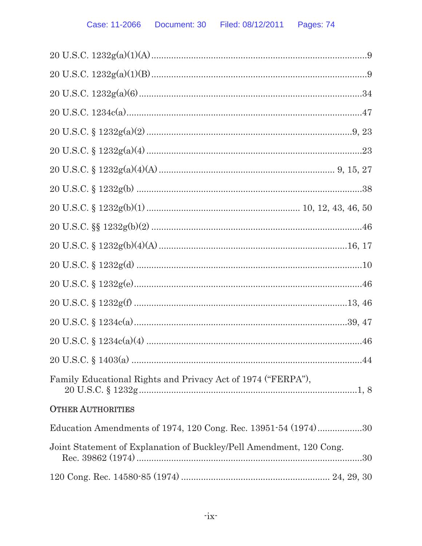| Family Educational Rights and Privacy Act of 1974 ("FERPA"),        |
|---------------------------------------------------------------------|
| <b>OTHER AUTHORITIES</b>                                            |
| Education Amendments of 1974, 120 Cong. Rec. 13951-54 (1974)30      |
| Joint Statement of Explanation of Buckley/Pell Amendment, 120 Cong. |
|                                                                     |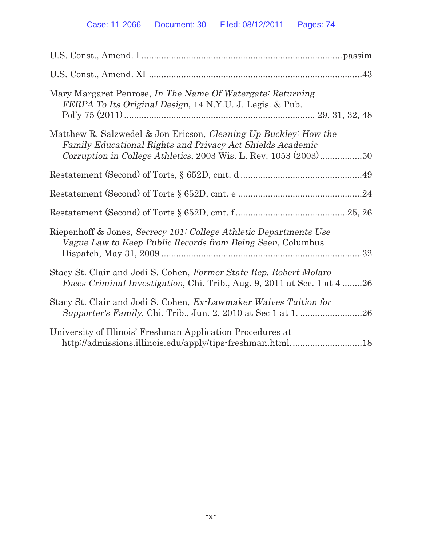| Mary Margaret Penrose, In The Name Of Watergate: Returning<br>FERPA To Its Original Design, 14 N.Y.U. J. Legis. & Pub.                                                                                    |
|-----------------------------------------------------------------------------------------------------------------------------------------------------------------------------------------------------------|
| Matthew R. Salzwedel & Jon Ericson, Cleaning Up Buckley: How the<br>Family Educational Rights and Privacy Act Shields Academic<br>Corruption in College Athletics, $2003$ Wis. L. Rev. $1053$ $(2003)$ 50 |
|                                                                                                                                                                                                           |
|                                                                                                                                                                                                           |
|                                                                                                                                                                                                           |
| Riepenhoff & Jones, Secrecy 101: College Athletic Departments Use<br>Vague Law to Keep Public Records from Being Seen, Columbus                                                                           |
| Stacy St. Clair and Jodi S. Cohen, Former State Rep. Robert Molaro<br>Faces Criminal Investigation, Chi. Trib., Aug. 9, 2011 at Sec. 1 at 4 26                                                            |
| Stacy St. Clair and Jodi S. Cohen, Ex-Lawmaker Waives Tuition for                                                                                                                                         |
| University of Illinois' Freshman Application Procedures at<br>http://admissions.illinois.edu/apply/tips-freshman.html18                                                                                   |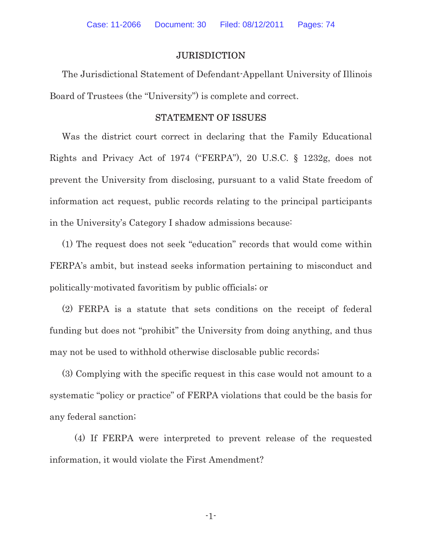# **JURISDICTION**

The Jurisdictional Statement of Defendant-Appellant University of Illinois Board of Trustees (the "University") is complete and correct.

#### STATEMENT OF ISSUES

Was the district court correct in declaring that the Family Educational Rights and Privacy Act of 1974 ("FERPA"), 20 U.S.C. § 1232g, does not prevent the University from disclosing, pursuant to a valid State freedom of information act request, public records relating to the principal participants in the University's Category I shadow admissions because:

(1) The request does not seek "education" records that would come within FERPA's ambit, but instead seeks information pertaining to misconduct and politically-motivated favoritism by public officials; or

(2) FERPA is a statute that sets conditions on the receipt of federal funding but does not "prohibit" the University from doing anything, and thus may not be used to withhold otherwise disclosable public records;

(3) Complying with the specific request in this case would not amount to a systematic "policy or practice" of FERPA violations that could be the basis for any federal sanction;

(4) If FERPA were interpreted to prevent release of the requested information, it would violate the First Amendment?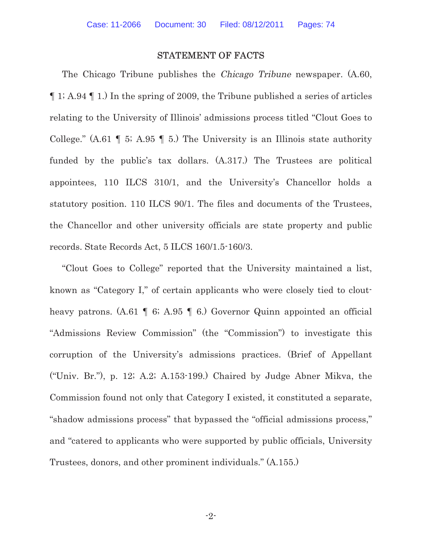### STATEMENT OF FACTS

The Chicago Tribune publishes the *Chicago Tribune* newspaper.  $(A.60, B.60)$ ¶ 1; A.94 ¶ 1.) In the spring of 2009, the Tribune published a series of articles relating to the University of Illinois' admissions process titled "Clout Goes to College." (A.61  $\parallel$  5; A.95  $\parallel$  5.) The University is an Illinois state authority funded by the public's tax dollars. (A.317.) The Trustees are political appointees, 110 ILCS 310/1, and the University's Chancellor holds a statutory position. 110 ILCS 90/1. The files and documents of the Trustees, the Chancellor and other university officials are state property and public records. State Records Act, 5 ILCS 160/1.5-160/3.

"Clout Goes to College" reported that the University maintained a list, known as "Category I," of certain applicants who were closely tied to cloutheavy patrons. (A.61 | 6; A.95 | 6.) Governor Quinn appointed an official "Admissions Review Commission" (the "Commission") to investigate this corruption of the University's admissions practices. (Brief of Appellant ("Univ. Br."), p. 12; A.2; A.153-199.) Chaired by Judge Abner Mikva, the Commission found not only that Category I existed, it constituted a separate, "shadow admissions process" that bypassed the "official admissions process," and "catered to applicants who were supported by public officials, University Trustees, donors, and other prominent individuals." (A.155.)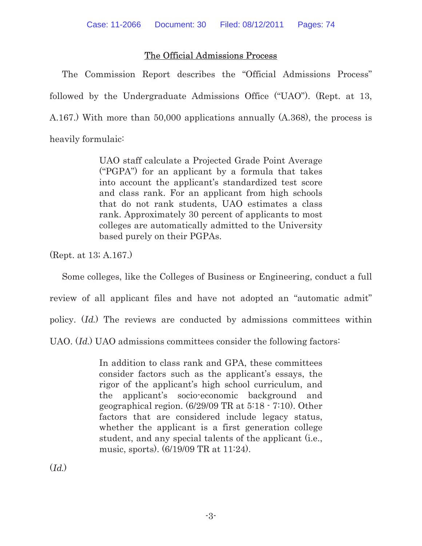# The Official Admissions Process

The Commission Report describes the "Official Admissions Process" followed by the Undergraduate Admissions Office ("UAO"). (Rept. at 13, A.167.) With more than 50,000 applications annually (A.368), the process is heavily formulaic:

> UAO staff calculate a Projected Grade Point Average ("PGPA") for an applicant by a formula that takes into account the applicant's standardized test score and class rank. For an applicant from high schools that do not rank students, UAO estimates a class rank. Approximately 30 percent of applicants to most colleges are automatically admitted to the University based purely on their PGPAs.

(Rept. at 13; A.167.)

Some colleges, like the Colleges of Business or Engineering, conduct a full review of all applicant files and have not adopted an "automatic admit" policy. (Id.) The reviews are conducted by admissions committees within UAO. (Id.) UAO admissions committees consider the following factors:

> In addition to class rank and GPA, these committees consider factors such as the applicant's essays, the rigor of the applicant's high school curriculum, and the applicant's socio-economic background and geographical region. (6/29/09 TR at 5:18 - 7:10). Other factors that are considered include legacy status, whether the applicant is a first generation college student, and any special talents of the applicant (i.e., music, sports). (6/19/09 TR at 11:24).

 $(Id.)$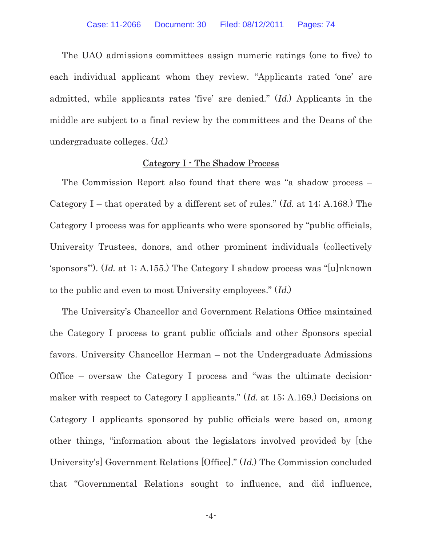The UAO admissions committees assign numeric ratings (one to five) to each individual applicant whom they review. "Applicants rated 'one' are admitted, while applicants rates 'five' are denied." (Id.) Applicants in the middle are subject to a final review by the committees and the Deans of the undergraduate colleges. (Id.)

#### Category I - The Shadow Process

The Commission Report also found that there was "a shadow process – Category I – that operated by a different set of rules." (Id. at 14; A.168.) The Category I process was for applicants who were sponsored by "public officials, University Trustees, donors, and other prominent individuals (collectively 'sponsors'"). (Id. at 1; A.155.) The Category I shadow process was "[u]nknown to the public and even to most University employees." (Id.)

The University's Chancellor and Government Relations Office maintained the Category I process to grant public officials and other Sponsors special favors. University Chancellor Herman – not the Undergraduate Admissions Office – oversaw the Category I process and "was the ultimate decisionmaker with respect to Category I applicants." (Id. at 15; A.169.) Decisions on Category I applicants sponsored by public officials were based on, among other things, "information about the legislators involved provided by [the University's] Government Relations [Office]." (Id.) The Commission concluded that "Governmental Relations sought to influence, and did influence,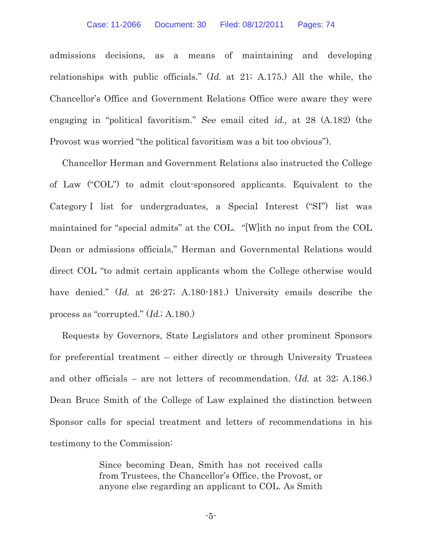admissions decisions, as a means of maintaining and developing relationships with public officials." (Id. at 21; A.175.) All the while, the Chancellor's Office and Government Relations Office were aware they were engaging in "political favoritism." See email cited id., at 28 (A.182) (the Provost was worried "the political favoritism was a bit too obvious").

Chancellor Herman and Government Relations also instructed the College of Law ("COL") to admit clout-sponsored applicants. Equivalent to the Category I list for undergraduates, a Special Interest ("SI") list was maintained for "special admits" at the COL. "[W]ith no input from the COL Dean or admissions officials," Herman and Governmental Relations would direct COL "to admit certain applicants whom the College otherwise would have denied." (Id. at 26-27; A.180-181.) University emails describe the process as "corrupted." (Id.; A.180.)

Requests by Governors, State Legislators and other prominent Sponsors for preferential treatment – either directly or through University Trustees and other officials – are not letters of recommendation. (Id. at 32; A.186.) Dean Bruce Smith of the College of Law explained the distinction between Sponsor calls for special treatment and letters of recommendations in his testimony to the Commission:

> Since becoming Dean, Smith has not received calls from Trustees, the Chancellor's Office, the Provost, or anyone else regarding an applicant to COL. As Smith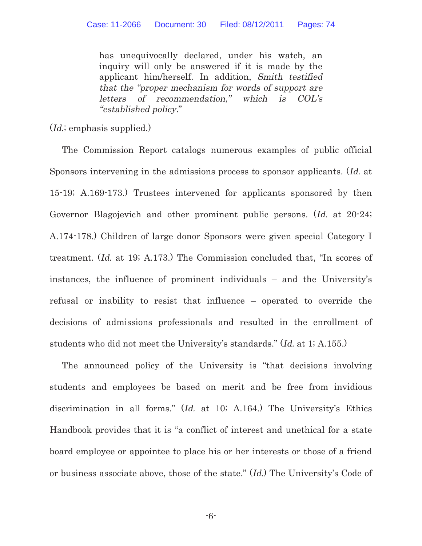has unequivocally declared, under his watch, an inquiry will only be answered if it is made by the applicant him/herself. In addition, Smith testified that the "proper mechanism for words of support are letters of recommendation," which is COL's "established policy."

(*Id.*; emphasis supplied.)

The Commission Report catalogs numerous examples of public official Sponsors intervening in the admissions process to sponsor applicants. (Id. at 15-19; A.169-173.) Trustees intervened for applicants sponsored by then Governor Blagojevich and other prominent public persons. (Id. at 20-24; A.174-178.) Children of large donor Sponsors were given special Category I treatment. (Id. at 19; A.173.) The Commission concluded that, "In scores of instances, the influence of prominent individuals – and the University's refusal or inability to resist that influence – operated to override the decisions of admissions professionals and resulted in the enrollment of students who did not meet the University's standards." (Id. at 1; A.155.)

The announced policy of the University is "that decisions involving students and employees be based on merit and be free from invidious discrimination in all forms." (Id. at 10; A.164.) The University's Ethics Handbook provides that it is "a conflict of interest and unethical for a state board employee or appointee to place his or her interests or those of a friend or business associate above, those of the state." (Id.) The University's Code of

-6-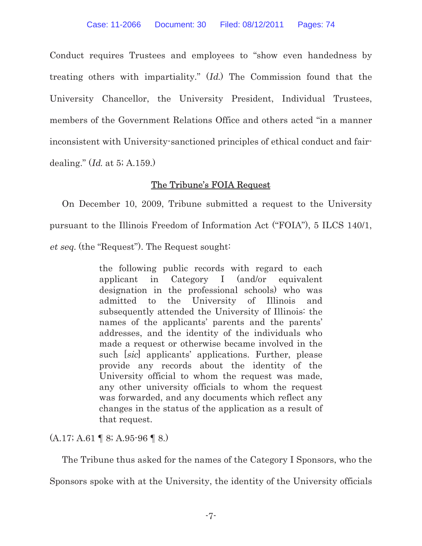Conduct requires Trustees and employees to "show even handedness by treating others with impartiality." (Id.) The Commission found that the University Chancellor, the University President, Individual Trustees, members of the Government Relations Office and others acted "in a manner inconsistent with University-sanctioned principles of ethical conduct and fairdealing." (Id. at 5; A.159.)

# The Tribune's FOIA Request

On December 10, 2009, Tribune submitted a request to the University pursuant to the Illinois Freedom of Information Act ("FOIA"), 5 ILCS 140/1, et seq. (the "Request"). The Request sought:

> the following public records with regard to each applicant in Category I (and/or equivalent designation in the professional schools) who was admitted to the University of Illinois and subsequently attended the University of Illinois: the names of the applicants' parents and the parents' addresses, and the identity of the individuals who made a request or otherwise became involved in the such [sic] applicants' applications. Further, please provide any records about the identity of the University official to whom the request was made, any other university officials to whom the request was forwarded, and any documents which reflect any changes in the status of the application as a result of that request.

(A.17; A.61 ¶ 8; A.95-96 ¶ 8.)

The Tribune thus asked for the names of the Category I Sponsors, who the

Sponsors spoke with at the University, the identity of the University officials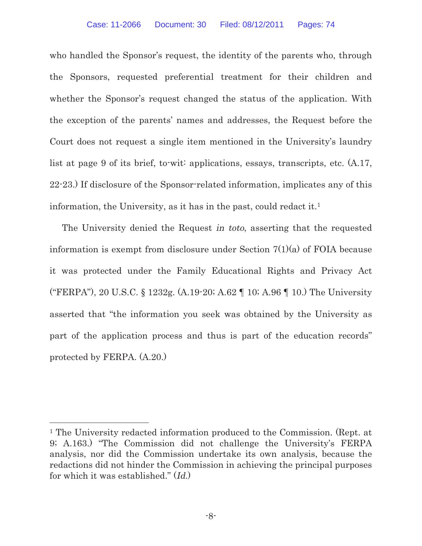who handled the Sponsor's request, the identity of the parents who, through the Sponsors, requested preferential treatment for their children and whether the Sponsor's request changed the status of the application. With the exception of the parents' names and addresses, the Request before the Court does not request a single item mentioned in the University's laundry list at page 9 of its brief, to-wit: applications, essays, transcripts, etc. (A.17, 22-23.) If disclosure of the Sponsor-related information, implicates any of this information, the University, as it has in the past, could redact it.<sup>1</sup>

The University denied the Request in toto, asserting that the requested information is exempt from disclosure under Section  $7(1)(a)$  of FOIA because it was protected under the Family Educational Rights and Privacy Act ("FERPA"), 20 U.S.C. § 1232g. (A.19-20; A.62 ¶ 10; A.96 ¶ 10.) The University asserted that "the information you seek was obtained by the University as part of the application process and thus is part of the education records" protected by FERPA. (A.20.)

<sup>1</sup> The University redacted information produced to the Commission. (Rept. at 9; A.163.) "The Commission did not challenge the University's FERPA analysis, nor did the Commission undertake its own analysis, because the redactions did not hinder the Commission in achieving the principal purposes for which it was established." (Id.)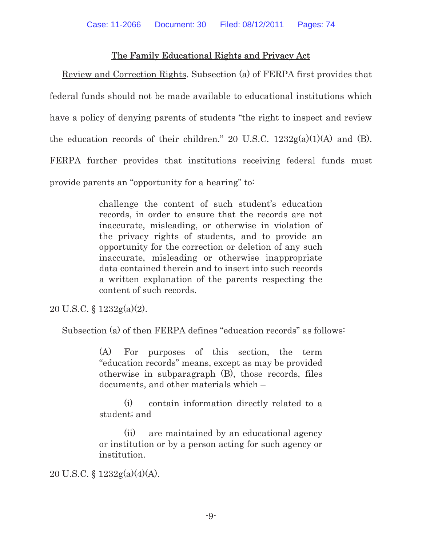# The Family Educational Rights and Privacy Act

Review and Correction Rights. Subsection (a) of FERPA first provides that federal funds should not be made available to educational institutions which have a policy of denying parents of students "the right to inspect and review the education records of their children." 20 U.S.C.  $1232g(a)(1)(A)$  and (B). FERPA further provides that institutions receiving federal funds must provide parents an "opportunity for a hearing" to:

> challenge the content of such student's education records, in order to ensure that the records are not inaccurate, misleading, or otherwise in violation of the privacy rights of students, and to provide an opportunity for the correction or deletion of any such inaccurate, misleading or otherwise inappropriate data contained therein and to insert into such records a written explanation of the parents respecting the content of such records.

20 U.S.C. § 1232g(a)(2).

Subsection (a) of then FERPA defines "education records" as follows:

(A) For purposes of this section, the term "education records" means, except as may be provided otherwise in subparagraph (B), those records, files documents, and other materials which –

(i) contain information directly related to a student; and

(ii) are maintained by an educational agency or institution or by a person acting for such agency or institution.

20 U.S.C. §  $1232g(a)(4)(A)$ .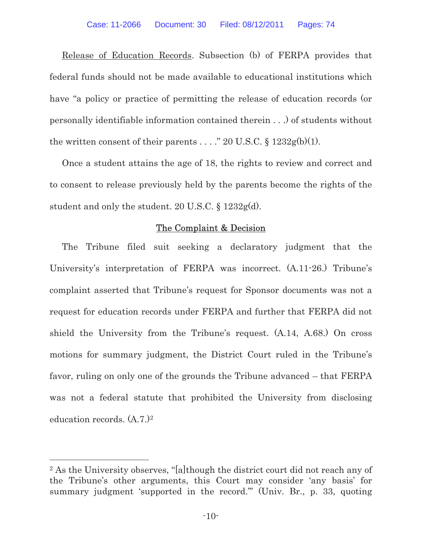Release of Education Records. Subsection (b) of FERPA provides that federal funds should not be made available to educational institutions which have "a policy or practice of permitting the release of education records (or personally identifiable information contained therein . . .) of students without the written consent of their parents . . . . " 20 U.S.C.  $\S 1232g(b)(1)$ .

Once a student attains the age of 18, the rights to review and correct and to consent to release previously held by the parents become the rights of the student and only the student. 20 U.S.C. § 1232g(d).

## The Complaint & Decision

The Tribune filed suit seeking a declaratory judgment that the University's interpretation of FERPA was incorrect. (A.11-26.) Tribune's complaint asserted that Tribune's request for Sponsor documents was not a request for education records under FERPA and further that FERPA did not shield the University from the Tribune's request. (A.14, A.68.) On cross motions for summary judgment, the District Court ruled in the Tribune's favor, ruling on only one of the grounds the Tribune advanced – that FERPA was not a federal statute that prohibited the University from disclosing education records. (A.7.)<sup>2</sup>

 $\overline{a}$ 

<sup>2</sup> As the University observes, "[a]though the district court did not reach any of the Tribune's other arguments, this Court may consider 'any basis' for summary judgment 'supported in the record." (Univ. Br., p. 33, quoting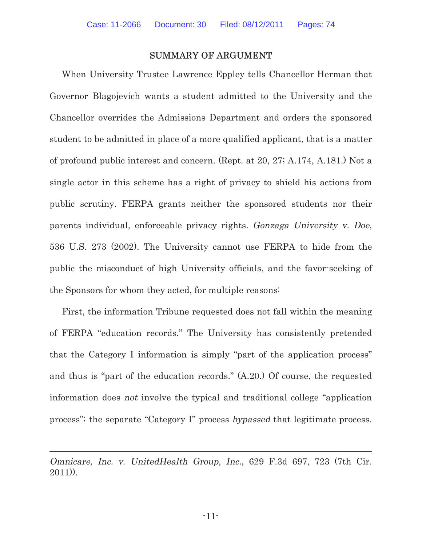### SUMMARY OF ARGUMENT

When University Trustee Lawrence Eppley tells Chancellor Herman that Governor Blagojevich wants a student admitted to the University and the Chancellor overrides the Admissions Department and orders the sponsored student to be admitted in place of a more qualified applicant, that is a matter of profound public interest and concern. (Rept. at 20, 27; A.174, A.181.) Not a single actor in this scheme has a right of privacy to shield his actions from public scrutiny. FERPA grants neither the sponsored students nor their parents individual, enforceable privacy rights. Gonzaga University v. Doe, 536 U.S. 273 (2002). The University cannot use FERPA to hide from the public the misconduct of high University officials, and the favor-seeking of the Sponsors for whom they acted, for multiple reasons:

First, the information Tribune requested does not fall within the meaning of FERPA "education records." The University has consistently pretended that the Category I information is simply "part of the application process" and thus is "part of the education records." (A.20.) Of course, the requested information does not involve the typical and traditional college "application process"; the separate "Category I" process bypassed that legitimate process.

 $\overline{a}$ 

Omnicare, Inc. v. UnitedHealth Group, Inc., 629 F.3d 697, 723 (7th Cir. 2011)).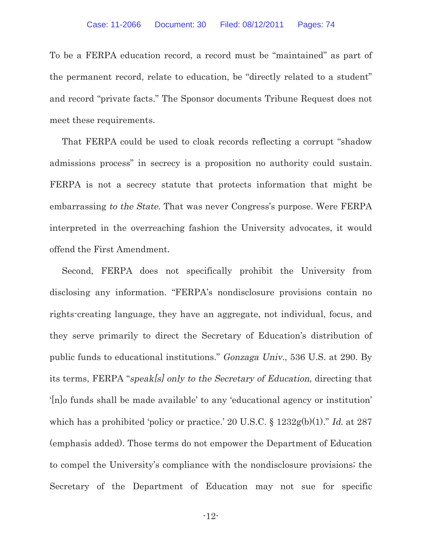To be a FERPA education record, a record must be "maintained" as part of the permanent record, relate to education, be "directly related to a student" and record "private facts." The Sponsor documents Tribune Request does not meet these requirements.

That FERPA could be used to cloak records reflecting a corrupt "shadow admissions process" in secrecy is a proposition no authority could sustain. FERPA is not a secrecy statute that protects information that might be embarrassing to the State. That was never Congress's purpose. Were FERPA interpreted in the overreaching fashion the University advocates, it would offend the First Amendment.

Second, FERPA does not specifically prohibit the University from disclosing any information. "FERPA's nondisclosure provisions contain no rights-creating language, they have an aggregate, not individual, focus, and they serve primarily to direct the Secretary of Education's distribution of public funds to educational institutions." Gonzaga Univ., 536 U.S. at 290. By its terms, FERPA "speak[s] only to the Secretary of Education, directing that '[n]o funds shall be made available' to any 'educational agency or institution' which has a prohibited 'policy or practice.' 20 U.S.C. § 1232g(b)(1)." Id. at 287 (emphasis added). Those terms do not empower the Department of Education to compel the University's compliance with the nondisclosure provisions; the Secretary of the Department of Education may not sue for specific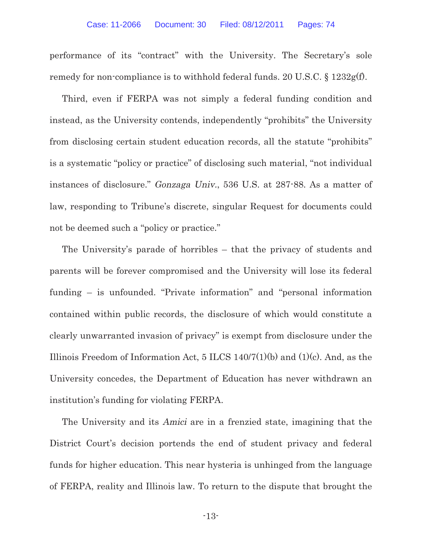performance of its "contract" with the University. The Secretary's sole remedy for non-compliance is to withhold federal funds. 20 U.S.C. § 1232g(f).

Third, even if FERPA was not simply a federal funding condition and instead, as the University contends, independently "prohibits" the University from disclosing certain student education records, all the statute "prohibits" is a systematic "policy or practice" of disclosing such material, "not individual instances of disclosure." Gonzaga Univ., 536 U.S. at 287-88. As a matter of law, responding to Tribune's discrete, singular Request for documents could not be deemed such a "policy or practice."

The University's parade of horribles – that the privacy of students and parents will be forever compromised and the University will lose its federal funding – is unfounded. "Private information" and "personal information contained within public records, the disclosure of which would constitute a clearly unwarranted invasion of privacy" is exempt from disclosure under the Illinois Freedom of Information Act, 5 ILCS 140/7(1)(b) and (1)(c). And, as the University concedes, the Department of Education has never withdrawn an institution's funding for violating FERPA.

The University and its Amici are in a frenzied state, imagining that the District Court's decision portends the end of student privacy and federal funds for higher education. This near hysteria is unhinged from the language of FERPA, reality and Illinois law. To return to the dispute that brought the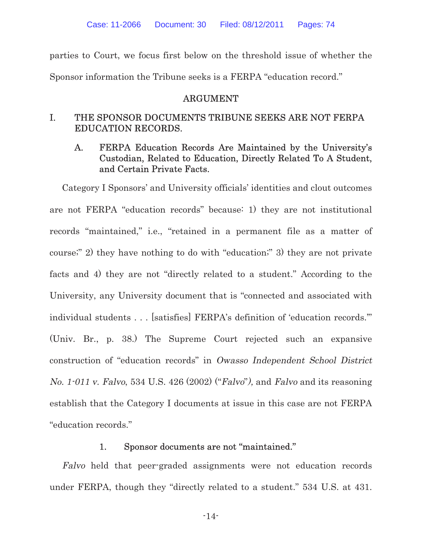parties to Court, we focus first below on the threshold issue of whether the Sponsor information the Tribune seeks is a FERPA "education record."

#### ARGUMENT

# I. THE SPONSOR DOCUMENTS TRIBUNE SEEKS ARE NOT FERPA EDUCATION RECORDS.

# A. FERPA Education Records Are Maintained by the University's Custodian, Related to Education, Directly Related To A Student, and Certain Private Facts.

Category I Sponsors' and University officials' identities and clout outcomes are not FERPA "education records" because: 1) they are not institutional records "maintained," i.e., "retained in a permanent file as a matter of course;" 2) they have nothing to do with "education;" 3) they are not private facts and 4) they are not "directly related to a student." According to the University, any University document that is "connected and associated with individual students . . . [satisfies] FERPA's definition of 'education records.'" (Univ. Br., p. 38.) The Supreme Court rejected such an expansive construction of "education records" in Owasso Independent School District No. 1-011 v. Falvo, 534 U.S. 426 (2002) ("Falvo"), and Falvo and its reasoning establish that the Category I documents at issue in this case are not FERPA "education records."

#### 1. Sponsor documents are not "maintained."

Falvo held that peer-graded assignments were not education records under FERPA, though they "directly related to a student." 534 U.S. at 431.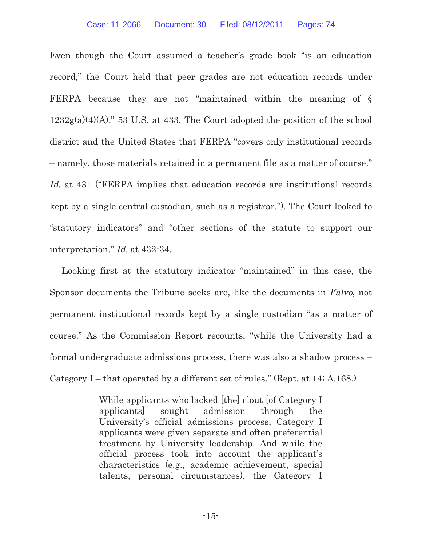Even though the Court assumed a teacher's grade book "is an education record," the Court held that peer grades are not education records under FERPA because they are not "maintained within the meaning of §  $1232g(a)(4)(A)$ ." 53 U.S. at 433. The Court adopted the position of the school district and the United States that FERPA "covers only institutional records – namely, those materials retained in a permanent file as a matter of course." Id. at 431 ("FERPA implies that education records are institutional records kept by a single central custodian, such as a registrar."). The Court looked to "statutory indicators" and "other sections of the statute to support our interpretation." Id. at 432-34.

Looking first at the statutory indicator "maintained" in this case, the Sponsor documents the Tribune seeks are, like the documents in Falvo, not permanent institutional records kept by a single custodian "as a matter of course." As the Commission Report recounts, "while the University had a formal undergraduate admissions process, there was also a shadow process – Category I – that operated by a different set of rules." (Rept. at 14; A.168.)

> While applicants who lacked [the] clout [of Category I applicants] sought admission through the University's official admissions process, Category I applicants were given separate and often preferential treatment by University leadership. And while the official process took into account the applicant's characteristics (e.g., academic achievement, special talents, personal circumstances), the Category I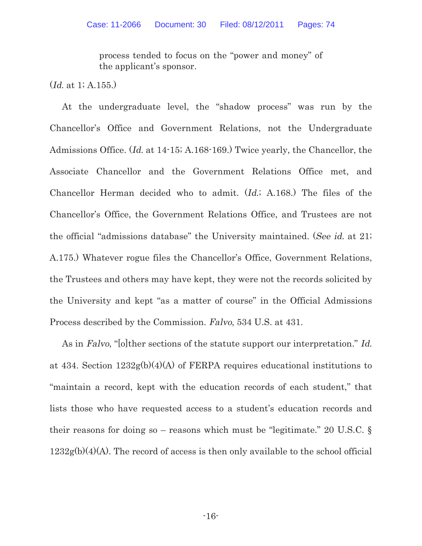process tended to focus on the "power and money" of the applicant's sponsor.

(Id. at 1; A.155.)

At the undergraduate level, the "shadow process" was run by the Chancellor's Office and Government Relations, not the Undergraduate Admissions Office. (Id. at 14-15; A.168-169.) Twice yearly, the Chancellor, the Associate Chancellor and the Government Relations Office met, and Chancellor Herman decided who to admit. (Id.; A.168.) The files of the Chancellor's Office, the Government Relations Office, and Trustees are not the official "admissions database" the University maintained. (See id. at 21; A.175.) Whatever rogue files the Chancellor's Office, Government Relations, the Trustees and others may have kept, they were not the records solicited by the University and kept "as a matter of course" in the Official Admissions Process described by the Commission. Falvo, 534 U.S. at 431.

As in Falvo, "[o]ther sections of the statute support our interpretation." Id. at 434. Section 1232g(b)(4)(A) of FERPA requires educational institutions to "maintain a record, kept with the education records of each student," that lists those who have requested access to a student's education records and their reasons for doing so – reasons which must be "legitimate." 20 U.S.C. §  $1232g(b)(4)(A)$ . The record of access is then only available to the school official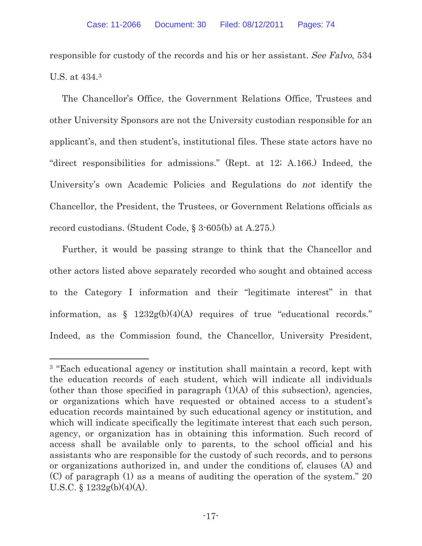responsible for custody of the records and his or her assistant. See Falvo, 534 U.S. at 434.<sup>3</sup>

The Chancellor's Office, the Government Relations Office, Trustees and other University Sponsors are not the University custodian responsible for an applicant's, and then student's, institutional files. These state actors have no "direct responsibilities for admissions." (Rept. at 12; A.166.) Indeed, the University's own Academic Policies and Regulations do not identify the Chancellor, the President, the Trustees, or Government Relations officials as record custodians. (Student Code, § 3-605(b) at A.275.)

Further, it would be passing strange to think that the Chancellor and other actors listed above separately recorded who sought and obtained access to the Category I information and their "legitimate interest" in that information, as  $\frac{\xi}{2}$  1232g(b)(4)(A) requires of true "educational records." Indeed, as the Commission found, the Chancellor, University President,

 $\overline{a}$ 

<sup>3</sup> "Each educational agency or institution shall maintain a record, kept with the education records of each student, which will indicate all individuals (other than those specified in paragraph  $(1)(A)$  of this subsection), agencies, or organizations which have requested or obtained access to a student's education records maintained by such educational agency or institution, and which will indicate specifically the legitimate interest that each such person, agency, or organization has in obtaining this information. Such record of access shall be available only to parents, to the school official and his assistants who are responsible for the custody of such records, and to persons or organizations authorized in, and under the conditions of, clauses (A) and (C) of paragraph (1) as a means of auditing the operation of the system." 20 U.S.C. § 1232g(b)(4)(A).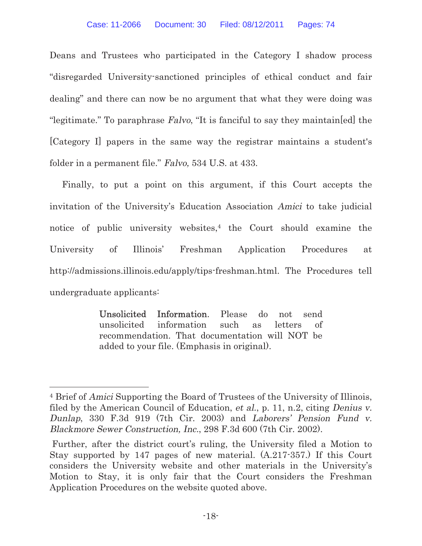Deans and Trustees who participated in the Category I shadow process "disregarded University-sanctioned principles of ethical conduct and fair dealing" and there can now be no argument that what they were doing was "legitimate." To paraphrase Falvo, "It is fanciful to say they maintain[ed] the [Category I] papers in the same way the registrar maintains a student's folder in a permanent file." Falvo, 534 U.S. at 433.

Finally, to put a point on this argument, if this Court accepts the invitation of the University's Education Association Amici to take judicial notice of public university websites, $4$  the Court should examine the University of Illinois' Freshman Application Procedures at http://admissions.illinois.edu/apply/tips-freshman.html. The Procedures tell undergraduate applicants:

> Unsolicited Information. Please do not send unsolicited information such as letters of recommendation. That documentation will NOT be added to your file. (Emphasis in original).

 $\overline{a}$ 

<sup>4</sup> Brief of Amici Supporting the Board of Trustees of the University of Illinois, filed by the American Council of Education, et al., p. 11, n.2, citing Denius v. Dunlap, 330 F.3d 919 (7th Cir. 2003) and Laborers' Pension Fund v. Blackmore Sewer Construction, Inc., 298 F.3d 600 (7th Cir. 2002).

Further, after the district court's ruling, the University filed a Motion to Stay supported by 147 pages of new material. (A.217-357.) If this Court considers the University website and other materials in the University's Motion to Stay, it is only fair that the Court considers the Freshman Application Procedures on the website quoted above.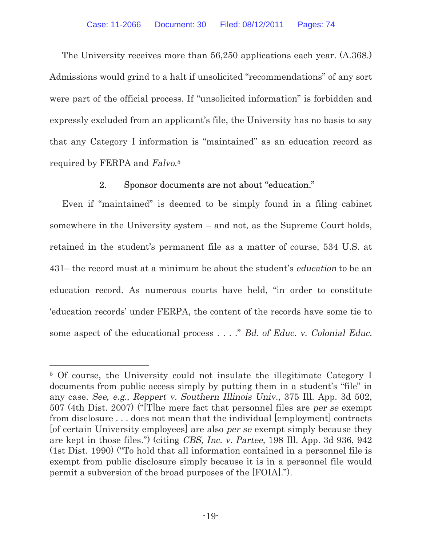The University receives more than 56,250 applications each year. (A.368.) Admissions would grind to a halt if unsolicited "recommendations" of any sort were part of the official process. If "unsolicited information" is forbidden and expressly excluded from an applicant's file, the University has no basis to say that any Category I information is "maintained" as an education record as required by FERPA and Falvo.<sup>5</sup>

# 2. Sponsor documents are not about "education."

Even if "maintained" is deemed to be simply found in a filing cabinet somewhere in the University system – and not, as the Supreme Court holds, retained in the student's permanent file as a matter of course, 534 U.S. at 431– the record must at a minimum be about the student's education to be an education record. As numerous courts have held, "in order to constitute 'education records' under FERPA, the content of the records have some tie to some aspect of the educational process . . . ." Bd. of Educ. v. Colonial Educ.

<sup>5</sup> Of course, the University could not insulate the illegitimate Category I documents from public access simply by putting them in a student's "file" in any case. See, e.g., Reppert v. Southern Illinois Univ., 375 Ill. App. 3d 502, 507 (4th Dist. 2007) ("[T]he mere fact that personnel files are per se exempt from disclosure . . . does not mean that the individual [employment] contracts [of certain University employees] are also per se exempt simply because they are kept in those files.") (citing CBS, Inc. v. Partee, 198 Ill. App. 3d 936, 942 (1st Dist. 1990) ("To hold that all information contained in a personnel file is exempt from public disclosure simply because it is in a personnel file would permit a subversion of the broad purposes of the [FOIA].").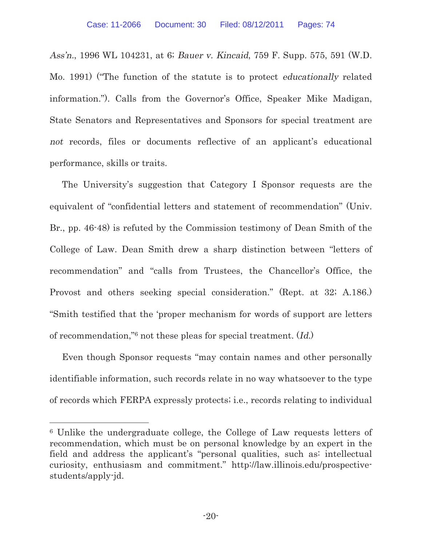Ass'n., 1996 WL 104231, at 6; Bauer v. Kincaid, 759 F. Supp. 575, 591 (W.D. Mo. 1991) ("The function of the statute is to protect educationally related information."). Calls from the Governor's Office, Speaker Mike Madigan, State Senators and Representatives and Sponsors for special treatment are not records, files or documents reflective of an applicant's educational performance, skills or traits.

The University's suggestion that Category I Sponsor requests are the equivalent of "confidential letters and statement of recommendation" (Univ. Br., pp. 46-48) is refuted by the Commission testimony of Dean Smith of the College of Law. Dean Smith drew a sharp distinction between "letters of recommendation" and "calls from Trustees, the Chancellor's Office, the Provost and others seeking special consideration." (Rept. at 32; A.186.) "Smith testified that the 'proper mechanism for words of support are letters of recommendation,"6 not these pleas for special treatment. (Id.)

Even though Sponsor requests "may contain names and other personally identifiable information, such records relate in no way whatsoever to the type of records which FERPA expressly protects; i.e., records relating to individual

<sup>6</sup> Unlike the undergraduate college, the College of Law requests letters of recommendation, which must be on personal knowledge by an expert in the field and address the applicant's "personal qualities, such as intellectual curiosity, enthusiasm and commitment." http://law.illinois.edu/prospectivestudents/apply-jd.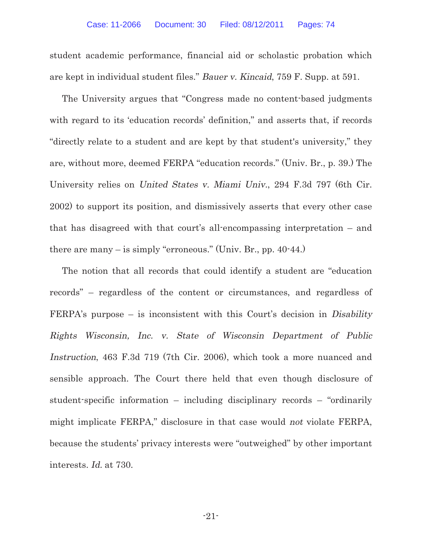student academic performance, financial aid or scholastic probation which are kept in individual student files." Bauer v. Kincaid, 759 F. Supp. at 591.

The University argues that "Congress made no content-based judgments with regard to its 'education records' definition," and asserts that, if records "directly relate to a student and are kept by that student's university," they are, without more, deemed FERPA "education records." (Univ. Br., p. 39.) The University relies on United States v. Miami Univ., 294 F.3d 797 (6th Cir. 2002) to support its position, and dismissively asserts that every other case that has disagreed with that court's all-encompassing interpretation – and there are many – is simply "erroneous." (Univ. Br., pp. 40-44.)

The notion that all records that could identify a student are "education records" – regardless of the content or circumstances, and regardless of FERPA's purpose – is inconsistent with this Court's decision in Disability Rights Wisconsin, Inc. v. State of Wisconsin Department of Public Instruction, 463 F.3d 719 (7th Cir. 2006), which took a more nuanced and sensible approach. The Court there held that even though disclosure of student-specific information – including disciplinary records – "ordinarily might implicate FERPA," disclosure in that case would not violate FERPA, because the students' privacy interests were "outweighed" by other important interests. Id. at 730.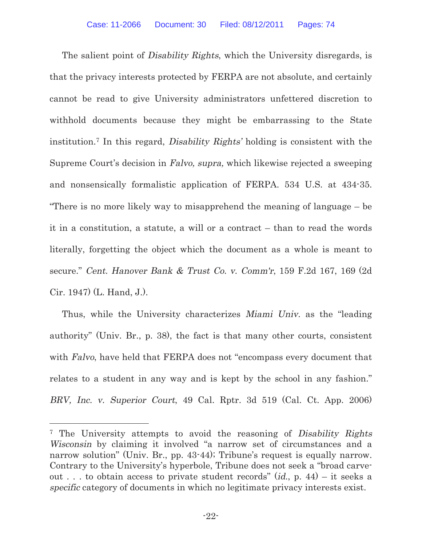The salient point of *Disability Rights*, which the University disregards, is that the privacy interests protected by FERPA are not absolute, and certainly cannot be read to give University administrators unfettered discretion to withhold documents because they might be embarrassing to the State institution.7 In this regard, Disability Rights' holding is consistent with the Supreme Court's decision in Falvo, supra, which likewise rejected a sweeping and nonsensically formalistic application of FERPA. 534 U.S. at 434-35. "There is no more likely way to misapprehend the meaning of language – be it in a constitution, a statute, a will or a contract – than to read the words literally, forgetting the object which the document as a whole is meant to secure." Cent. Hanover Bank & Trust Co. v. Comm'r, 159 F.2d 167, 169 (2d Cir. 1947) (L. Hand, J.).

Thus, while the University characterizes Miami Univ. as the "leading authority" (Univ. Br., p. 38), the fact is that many other courts, consistent with Falvo, have held that FERPA does not "encompass every document that relates to a student in any way and is kept by the school in any fashion." BRV, Inc. v. Superior Court, 49 Cal. Rptr. 3d 519 (Cal. Ct. App. 2006)

 $\overline{a}$ 

<sup>&</sup>lt;sup>7</sup> The University attempts to avoid the reasoning of Disability Rights Wisconsin by claiming it involved "a narrow set of circumstances and a narrow solution" (Univ. Br., pp. 43-44); Tribune's request is equally narrow. Contrary to the University's hyperbole, Tribune does not seek a "broad carveout ... to obtain access to private student records"  $(id, p. 44) - it$  seeks a specific category of documents in which no legitimate privacy interests exist.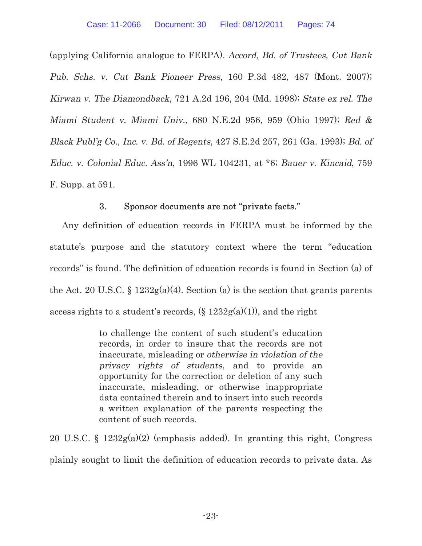(applying California analogue to FERPA). Accord, Bd. of Trustees, Cut Bank Pub. Schs. v. Cut Bank Pioneer Press, 160 P.3d 482, 487 (Mont. 2007); Kirwan v. The Diamondback, 721 A.2d 196, 204 (Md. 1998); State ex rel. The Miami Student v. Miami Univ., 680 N.E.2d 956, 959 (Ohio 1997); Red & Black Publ'g Co., Inc. v. Bd. of Regents, 427 S.E.2d 257, 261 (Ga. 1993); Bd. of Educ. v. Colonial Educ. Ass'n, 1996 WL 104231, at \*6; Bauer v. Kincaid, 759 F. Supp. at 591.

# 3. Sponsor documents are not "private facts."

Any definition of education records in FERPA must be informed by the statute's purpose and the statutory context where the term "education records" is found. The definition of education records is found in Section (a) of the Act. 20 U.S.C.  $\S 1232g(a)(4)$ . Section (a) is the section that grants parents access rights to a student's records,  $(\xi 1232g(a)(1))$ , and the right

> to challenge the content of such student's education records, in order to insure that the records are not inaccurate, misleading or otherwise in violation of the privacy rights of students, and to provide an opportunity for the correction or deletion of any such inaccurate, misleading, or otherwise inappropriate data contained therein and to insert into such records a written explanation of the parents respecting the content of such records.

20 U.S.C. § 1232g(a)(2) (emphasis added). In granting this right, Congress plainly sought to limit the definition of education records to private data. As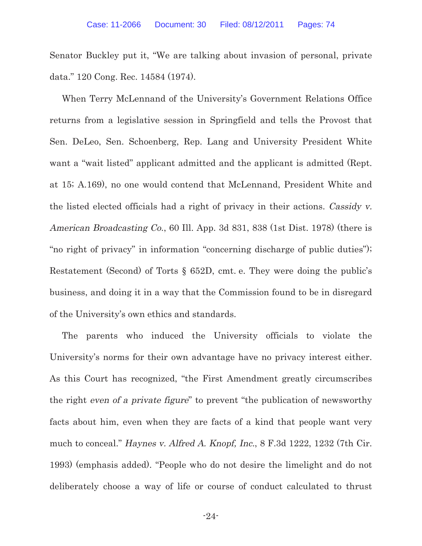Senator Buckley put it, "We are talking about invasion of personal, private data." 120 Cong. Rec. 14584 (1974).

When Terry McLennand of the University's Government Relations Office returns from a legislative session in Springfield and tells the Provost that Sen. DeLeo, Sen. Schoenberg, Rep. Lang and University President White want a "wait listed" applicant admitted and the applicant is admitted (Rept. at 15; A.169), no one would contend that McLennand, President White and the listed elected officials had a right of privacy in their actions. Cassidy v. American Broadcasting Co., 60 Ill. App. 3d 831, 838 (1st Dist. 1978) (there is "no right of privacy" in information "concerning discharge of public duties"); Restatement (Second) of Torts § 652D, cmt. e. They were doing the public's business, and doing it in a way that the Commission found to be in disregard of the University's own ethics and standards.

The parents who induced the University officials to violate the University's norms for their own advantage have no privacy interest either. As this Court has recognized, "the First Amendment greatly circumscribes the right even of a private figure" to prevent "the publication of newsworthy facts about him, even when they are facts of a kind that people want very much to conceal." Haynes v. Alfred A. Knopf, Inc., 8 F.3d 1222, 1232 (7th Cir. 1993) (emphasis added). "People who do not desire the limelight and do not deliberately choose a way of life or course of conduct calculated to thrust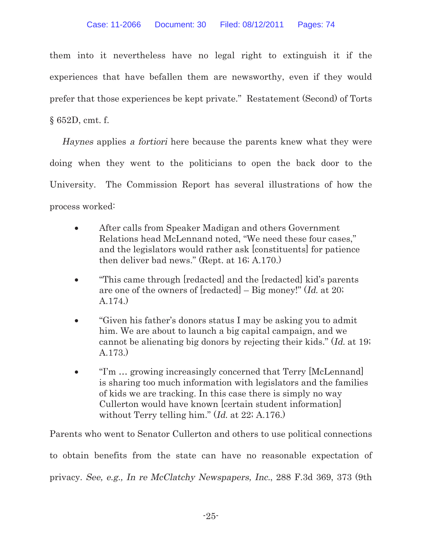them into it nevertheless have no legal right to extinguish it if the experiences that have befallen them are newsworthy, even if they would prefer that those experiences be kept private." Restatement (Second) of Torts § 652D, cmt. f.

Haynes applies a fortiori here because the parents knew what they were doing when they went to the politicians to open the back door to the University. The Commission Report has several illustrations of how the process worked:

- After calls from Speaker Madigan and others Government Relations head McLennand noted, "We need these four cases," and the legislators would rather ask [constituents] for patience then deliver bad news." (Rept. at 16; A.170.)
- "This came through [redacted] and the [redacted] kid's parents are one of the owners of [redacted] – Big money!" (Id. at 20; A.174.)
- "Given his father's donors status I may be asking you to admit him. We are about to launch a big capital campaign, and we cannot be alienating big donors by rejecting their kids." (Id. at 19; A.173.)
- "I'm ... growing increasingly concerned that Terry [McLennand] is sharing too much information with legislators and the families of kids we are tracking. In this case there is simply no way Cullerton would have known [certain student information] without Terry telling him." (Id. at 22; A.176.)

Parents who went to Senator Cullerton and others to use political connections to obtain benefits from the state can have no reasonable expectation of privacy. See, e.g., In re McClatchy Newspapers, Inc., 288 F.3d 369, 373 (9th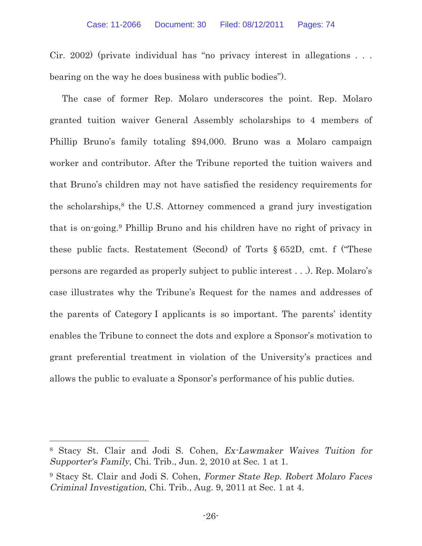Cir. 2002) (private individual has "no privacy interest in allegations . . . bearing on the way he does business with public bodies").

The case of former Rep. Molaro underscores the point. Rep. Molaro granted tuition waiver General Assembly scholarships to 4 members of Phillip Bruno's family totaling \$94,000. Bruno was a Molaro campaign worker and contributor. After the Tribune reported the tuition waivers and that Bruno's children may not have satisfied the residency requirements for the scholarships, $8$  the U.S. Attorney commenced a grand jury investigation that is on-going.9 Phillip Bruno and his children have no right of privacy in these public facts. Restatement (Second) of Torts § 652D, cmt. f ("These persons are regarded as properly subject to public interest . . .). Rep. Molaro's case illustrates why the Tribune's Request for the names and addresses of the parents of Category I applicants is so important. The parents' identity enables the Tribune to connect the dots and explore a Sponsor's motivation to grant preferential treatment in violation of the University's practices and allows the public to evaluate a Sponsor's performance of his public duties.

<sup>8</sup> Stacy St. Clair and Jodi S. Cohen, Ex-Lawmaker Waives Tuition for Supporter's Family, Chi. Trib., Jun. 2, 2010 at Sec. 1 at 1.

<sup>&</sup>lt;sup>9</sup> Stacy St. Clair and Jodi S. Cohen, Former State Rep. Robert Molaro Faces Criminal Investigation, Chi. Trib., Aug. 9, 2011 at Sec. 1 at 4.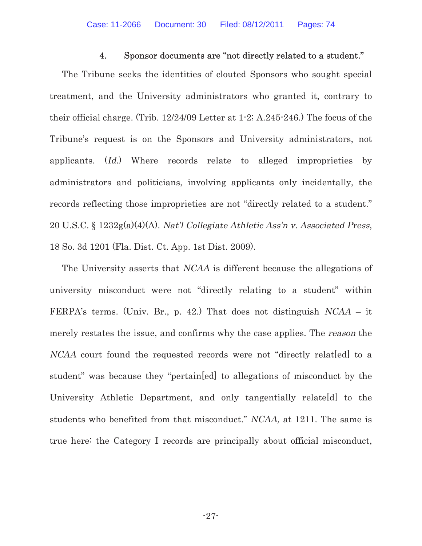#### 4. Sponsor documents are "not directly related to a student."

The Tribune seeks the identities of clouted Sponsors who sought special treatment, and the University administrators who granted it, contrary to their official charge. (Trib. 12/24/09 Letter at 1-2; A.245-246.) The focus of the Tribune's request is on the Sponsors and University administrators, not applicants. (Id.) Where records relate to alleged improprieties by administrators and politicians, involving applicants only incidentally, the records reflecting those improprieties are not "directly related to a student." 20 U.S.C. § 1232g(a)(4)(A). Nat'l Collegiate Athletic Ass'n v. Associated Press, 18 So. 3d 1201 (Fla. Dist. Ct. App. 1st Dist. 2009).

The University asserts that NCAA is different because the allegations of university misconduct were not "directly relating to a student" within FERPA's terms. (Univ. Br., p. 42.) That does not distinguish NCAA – it merely restates the issue, and confirms why the case applies. The reason the NCAA court found the requested records were not "directly relat[ed] to a student" was because they "pertain[ed] to allegations of misconduct by the University Athletic Department, and only tangentially relate[d] to the students who benefited from that misconduct." NCAA, at 1211. The same is true here: the Category I records are principally about official misconduct,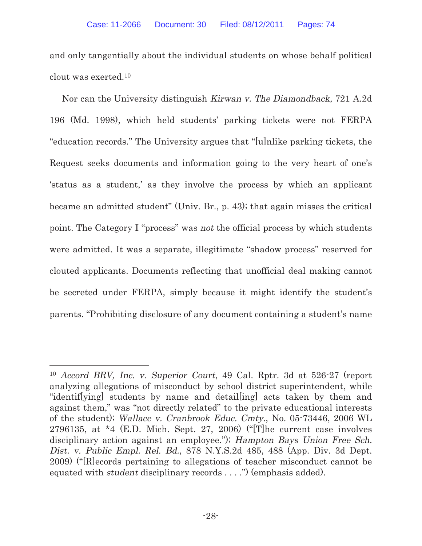and only tangentially about the individual students on whose behalf political clout was exerted.<sup>10</sup>

Nor can the University distinguish Kirwan v. The Diamondback, 721 A.2d 196 (Md. 1998), which held students' parking tickets were not FERPA "education records." The University argues that "[u]nlike parking tickets, the Request seeks documents and information going to the very heart of one's 'status as a student,' as they involve the process by which an applicant became an admitted student" (Univ. Br., p. 43); that again misses the critical point. The Category I "process" was not the official process by which students were admitted. It was a separate, illegitimate "shadow process" reserved for clouted applicants. Documents reflecting that unofficial deal making cannot be secreted under FERPA, simply because it might identify the student's parents. "Prohibiting disclosure of any document containing a student's name

<sup>10</sup> Accord BRV, Inc. v. Superior Court, 49 Cal. Rptr. 3d at 526-27 (report analyzing allegations of misconduct by school district superintendent, while "identif[ying] students by name and detail[ing] acts taken by them and against them," was "not directly related" to the private educational interests of the student); Wallace v. Cranbrook Educ. Cmty., No. 05-73446, 2006 WL 2796135, at  $*4$  (E.D. Mich. Sept. 27, 2006) ("[T]he current case involves disciplinary action against an employee."); Hampton Bays Union Free Sch. Dist. v. Public Empl. Rel. Bd., 878 N.Y.S.2d 485, 488 (App. Div. 3d Dept. 2009) ("[R]ecords pertaining to allegations of teacher misconduct cannot be equated with student disciplinary records . . . .") (emphasis added).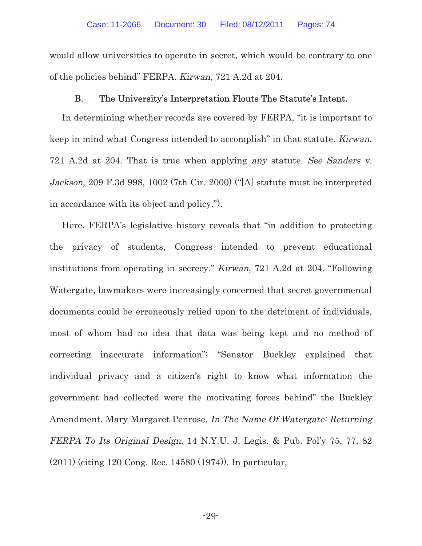would allow universities to operate in secret, which would be contrary to one of the policies behind" FERPA. Kirwan, 721 A.2d at 204.

### B. The University's Interpretation Flouts The Statute's Intent.

In determining whether records are covered by FERPA, "it is important to keep in mind what Congress intended to accomplish" in that statute. Kirwan, 721 A.2d at 204. That is true when applying any statute. See Sanders v. Jackson, 209 F.3d 998, 1002 (7th Cir. 2000) ("[A] statute must be interpreted in accordance with its object and policy.").

Here, FERPA's legislative history reveals that "in addition to protecting the privacy of students, Congress intended to prevent educational institutions from operating in secrecy." Kirwan, 721 A.2d at 204. "Following Watergate, lawmakers were increasingly concerned that secret governmental documents could be erroneously relied upon to the detriment of individuals, most of whom had no idea that data was being kept and no method of correcting inaccurate information"; "Senator Buckley explained that individual privacy and a citizen's right to know what information the government had collected were the motivating forces behind" the Buckley Amendment. Mary Margaret Penrose, In The Name Of Watergate: Returning FERPA To Its Original Design, 14 N.Y.U. J. Legis. & Pub. Pol'y 75, 77, 82 (2011) (citing 120 Cong. Rec. 14580 (1974)). In particular,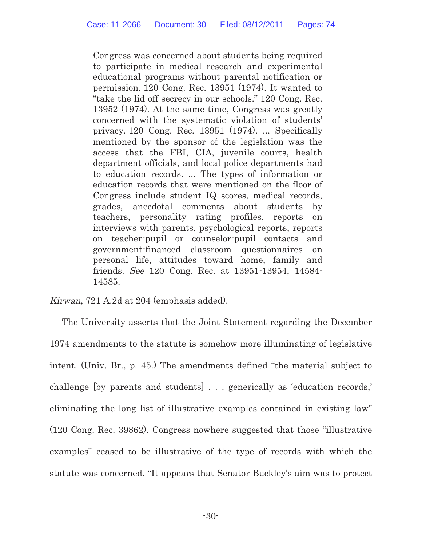Congress was concerned about students being required to participate in medical research and experimental educational programs without parental notification or permission. 120 Cong. Rec. 13951 (1974). It wanted to "take the lid off secrecy in our schools." 120 Cong. Rec. 13952 (1974). At the same time, Congress was greatly concerned with the systematic violation of students' privacy. 120 Cong. Rec. 13951 (1974). ... Specifically mentioned by the sponsor of the legislation was the access that the FBI, CIA, juvenile courts, health department officials, and local police departments had to education records. ... The types of information or education records that were mentioned on the floor of Congress include student IQ scores, medical records, grades, anecdotal comments about students by teachers, personality rating profiles, reports on interviews with parents, psychological reports, reports on teacher-pupil or counselor-pupil contacts and government-financed classroom questionnaires on personal life, attitudes toward home, family and friends. See 120 Cong. Rec. at 13951-13954, 14584- 14585.

Kirwan, 721 A.2d at 204 (emphasis added).

The University asserts that the Joint Statement regarding the December 1974 amendments to the statute is somehow more illuminating of legislative intent. (Univ. Br., p. 45.) The amendments defined "the material subject to challenge [by parents and students] . . . generically as 'education records,' eliminating the long list of illustrative examples contained in existing law" (120 Cong. Rec. 39862). Congress nowhere suggested that those "illustrative examples" ceased to be illustrative of the type of records with which the statute was concerned. "It appears that Senator Buckley's aim was to protect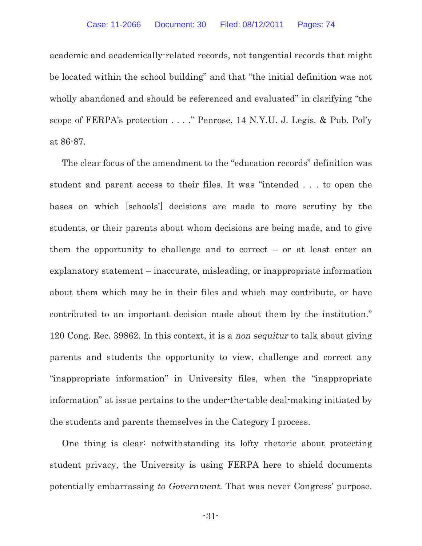academic and academically-related records, not tangential records that might be located within the school building" and that "the initial definition was not wholly abandoned and should be referenced and evaluated" in clarifying "the scope of FERPA's protection . . . ." Penrose, 14 N.Y.U. J. Legis. & Pub. Pol'y at 86-87.

The clear focus of the amendment to the "education records" definition was student and parent access to their files. It was "intended . . . to open the bases on which [schools'] decisions are made to more scrutiny by the students, or their parents about whom decisions are being made, and to give them the opportunity to challenge and to correct  $-$  or at least enter an explanatory statement – inaccurate, misleading, or inappropriate information about them which may be in their files and which may contribute, or have contributed to an important decision made about them by the institution." 120 Cong. Rec. 39862. In this context, it is a non sequitur to talk about giving parents and students the opportunity to view, challenge and correct any "inappropriate information" in University files, when the "inappropriate information" at issue pertains to the under-the-table deal-making initiated by the students and parents themselves in the Category I process.

One thing is clear: notwithstanding its lofty rhetoric about protecting student privacy, the University is using FERPA here to shield documents potentially embarrassing to Government. That was never Congress' purpose.

-31-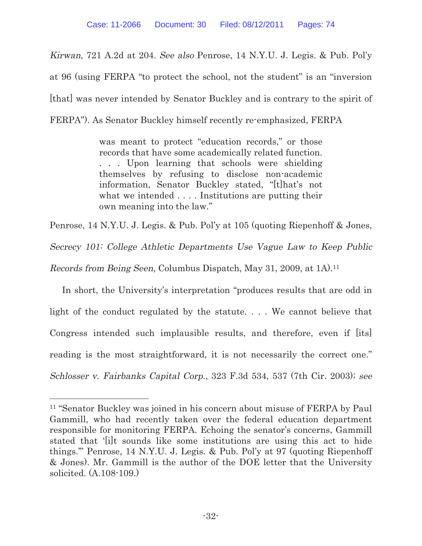Kirwan, 721 A.2d at 204. See also Penrose, 14 N.Y.U. J. Legis. & Pub. Pol'y at 96 (using FERPA "to protect the school, not the student" is an "inversion [that] was never intended by Senator Buckley and is contrary to the spirit of FERPA"). As Senator Buckley himself recently re-emphasized, FERPA

> was meant to protect "education records," or those records that have some academically related function. . . . Upon learning that schools were shielding themselves by refusing to disclose non-academic information, Senator Buckley stated, "[t]hat's not what we intended . . . . Institutions are putting their own meaning into the law."

Penrose, 14 N.Y.U. J. Legis. & Pub. Pol'y at 105 (quoting Riepenhoff & Jones,

Secrecy 101: College Athletic Departments Use Vague Law to Keep Public

Records from Being Seen, Columbus Dispatch, May 31, 2009, at 1A).<sup>11</sup>

In short, the University's interpretation "produces results that are odd in light of the conduct regulated by the statute. . . . We cannot believe that Congress intended such implausible results, and therefore, even if [its] reading is the most straightforward, it is not necessarily the correct one." Schlosser v. Fairbanks Capital Corp., 323 F.3d 534, 537 (7th Cir. 2003); see

<sup>&</sup>lt;sup>11</sup> "Senator Buckley was joined in his concern about misuse of FERPA by Paul Gammill, who had recently taken over the federal education department responsible for monitoring FERPA. Echoing the senator's concerns, Gammill stated that '[i]t sounds like some institutions are using this act to hide things.'" Penrose, 14 N.Y.U. J. Legis. & Pub. Pol'y at 97 (quoting Riepenhoff & Jones). Mr. Gammill is the author of the DOE letter that the University solicited. (A.108-109.)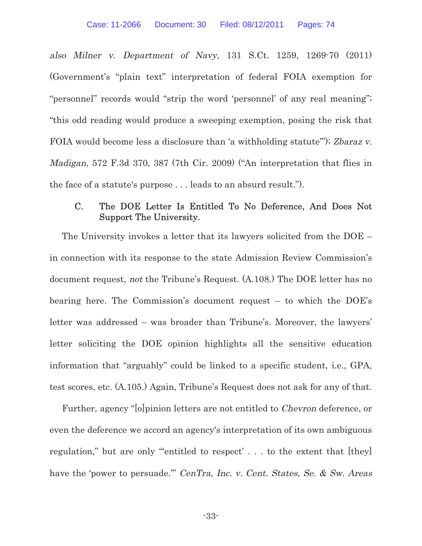also Milner v. Department of Navy, 131 S.Ct. 1259, 1269-70 (2011) (Government's "plain text" interpretation of federal FOIA exemption for "personnel" records would "strip the word 'personnel' of any real meaning"; "this odd reading would produce a sweeping exemption, posing the risk that FOIA would become less a disclosure than 'a withholding statute'"); Zbaraz v. Madigan, 572 F.3d 370, 387 (7th Cir. 2009) ("An interpretation that flies in the face of a statute's purpose . . . leads to an absurd result.").

# C. The DOE Letter Is Entitled To No Deference, And Does Not Support The University.

The University invokes a letter that its lawyers solicited from the DOE – in connection with its response to the state Admission Review Commission's document request, not the Tribune's Request. (A.108.) The DOE letter has no bearing here. The Commission's document request – to which the DOE's letter was addressed – was broader than Tribune's. Moreover, the lawyers' letter soliciting the DOE opinion highlights all the sensitive education information that "arguably" could be linked to a specific student, i.e., GPA, test scores, etc. (A.105.) Again, Tribune's Request does not ask for any of that.

Further, agency "[o]pinion letters are not entitled to Chevron deference, or even the deference we accord an agency's interpretation of its own ambiguous regulation," but are only ""entitled to respect'... to the extent that [they] have the 'power to persuade." CenTra, Inc. v. Cent. States, Se. & Sw. Areas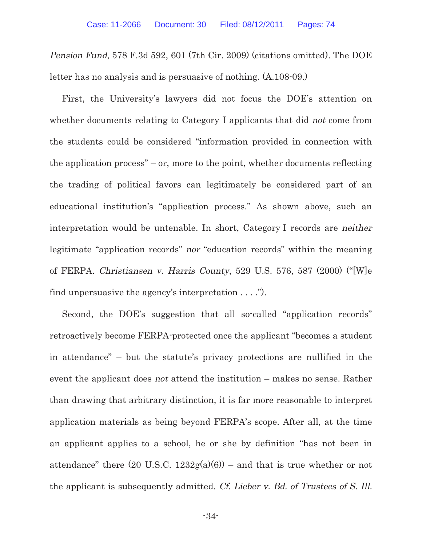Pension Fund, 578 F.3d 592, 601 (7th Cir. 2009) (citations omitted). The DOE letter has no analysis and is persuasive of nothing. (A.108-09.)

First, the University's lawyers did not focus the DOE's attention on whether documents relating to Category I applicants that did not come from the students could be considered "information provided in connection with the application process" – or, more to the point, whether documents reflecting the trading of political favors can legitimately be considered part of an educational institution's "application process." As shown above, such an interpretation would be untenable. In short, Category I records are neither legitimate "application records" nor "education records" within the meaning of FERPA. Christiansen v. Harris County, 529 U.S. 576, 587 (2000) ("[W]e find unpersuasive the agency's interpretation . . . .").

Second, the DOE's suggestion that all so-called "application records" retroactively become FERPA-protected once the applicant "becomes a student in attendance" – but the statute's privacy protections are nullified in the event the applicant does not attend the institution – makes no sense. Rather than drawing that arbitrary distinction, it is far more reasonable to interpret application materials as being beyond FERPA's scope. After all, at the time an applicant applies to a school, he or she by definition "has not been in attendance" there  $(20 \text{ U.S.C. } 1232g(a)(6))$  – and that is true whether or not the applicant is subsequently admitted. Cf. Lieber v. Bd. of Trustees of S. Ill.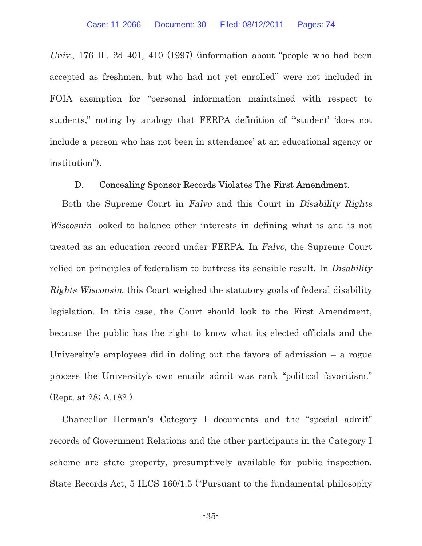Univ., 176 Ill. 2d 401, 410 (1997) (information about "people who had been accepted as freshmen, but who had not yet enrolled" were not included in FOIA exemption for "personal information maintained with respect to students," noting by analogy that FERPA definition of "'student' 'does not include a person who has not been in attendance' at an educational agency or institution").

#### D. Concealing Sponsor Records Violates The First Amendment.

Both the Supreme Court in Falvo and this Court in Disability Rights Wiscosnin looked to balance other interests in defining what is and is not treated as an education record under FERPA. In Falvo, the Supreme Court relied on principles of federalism to buttress its sensible result. In Disability Rights Wisconsin, this Court weighed the statutory goals of federal disability legislation. In this case, the Court should look to the First Amendment, because the public has the right to know what its elected officials and the University's employees did in doling out the favors of admission – a rogue process the University's own emails admit was rank "political favoritism." (Rept. at 28; A.182.)

Chancellor Herman's Category I documents and the "special admit" records of Government Relations and the other participants in the Category I scheme are state property, presumptively available for public inspection. State Records Act, 5 ILCS 160/1.5 ("Pursuant to the fundamental philosophy

-35-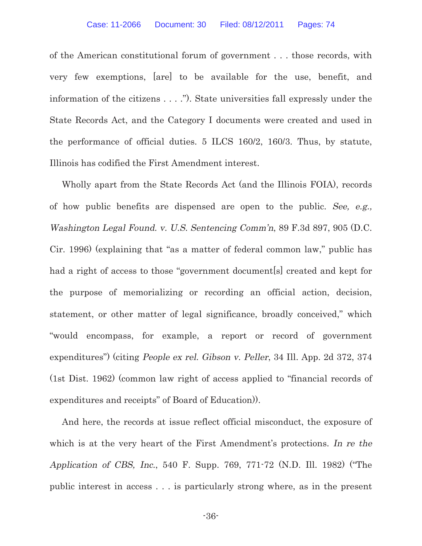of the American constitutional forum of government . . . those records, with very few exemptions, [are] to be available for the use, benefit, and information of the citizens . . . ."). State universities fall expressly under the State Records Act, and the Category I documents were created and used in the performance of official duties. 5 ILCS 160/2, 160/3. Thus, by statute, Illinois has codified the First Amendment interest.

Wholly apart from the State Records Act (and the Illinois FOIA), records of how public benefits are dispensed are open to the public. See, e.g., Washington Legal Found. v. U.S. Sentencing Comm'n, 89 F.3d 897, 905 (D.C. Cir. 1996) (explaining that "as a matter of federal common law," public has had a right of access to those "government document sold created and kept for the purpose of memorializing or recording an official action, decision, statement, or other matter of legal significance, broadly conceived," which "would encompass, for example, a report or record of government expenditures") (citing People ex rel. Gibson v. Peller, 34 Ill. App. 2d 372, 374 (1st Dist. 1962) (common law right of access applied to "financial records of expenditures and receipts" of Board of Education)).

And here, the records at issue reflect official misconduct, the exposure of which is at the very heart of the First Amendment's protections. In re the Application of CBS, Inc., 540 F. Supp. 769, 771-72 (N.D. Ill. 1982) ("The public interest in access . . . is particularly strong where, as in the present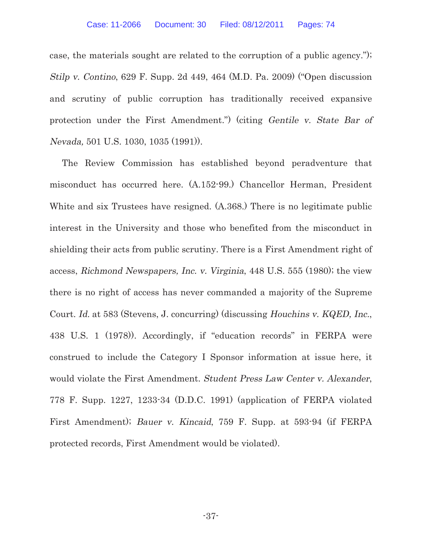case, the materials sought are related to the corruption of a public agency."); Stilp v. Contino, 629 F. Supp. 2d 449, 464 (M.D. Pa. 2009) ("Open discussion and scrutiny of public corruption has traditionally received expansive protection under the First Amendment.") (citing Gentile v. State Bar of Nevada, 501 U.S. 1030, 1035 (1991)).

The Review Commission has established beyond peradventure that misconduct has occurred here. (A.152-99.) Chancellor Herman, President White and six Trustees have resigned. (A.368.) There is no legitimate public interest in the University and those who benefited from the misconduct in shielding their acts from public scrutiny. There is a First Amendment right of access, Richmond Newspapers, Inc. v. Virginia, 448 U.S. 555 (1980); the view there is no right of access has never commanded a majority of the Supreme Court. Id. at 583 (Stevens, J. concurring) (discussing Houchins v. KQED, Inc., 438 U.S. 1 (1978)). Accordingly, if "education records" in FERPA were construed to include the Category I Sponsor information at issue here, it would violate the First Amendment. Student Press Law Center v. Alexander, 778 F. Supp. 1227, 1233-34 (D.D.C. 1991) (application of FERPA violated First Amendment); Bauer v. Kincaid, 759 F. Supp. at 593-94 (if FERPA protected records, First Amendment would be violated).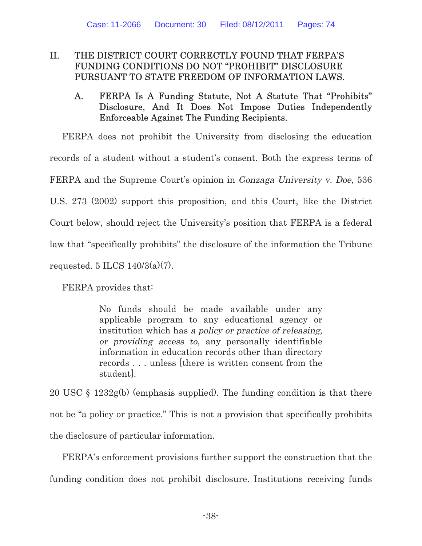# II. THE DISTRICT COURT CORRECTLY FOUND THAT FERPA'S FUNDING CONDITIONS DO NOT "PROHIBIT" DISCLOSURE PURSUANT TO STATE FREEDOM OF INFORMATION LAWS.

# A. FERPA Is A Funding Statute, Not A Statute That "Prohibits" Disclosure, And It Does Not Impose Duties Independently Enforceable Against The Funding Recipients.

FERPA does not prohibit the University from disclosing the education records of a student without a student's consent. Both the express terms of FERPA and the Supreme Court's opinion in Gonzaga University v. Doe, 536 U.S. 273 (2002) support this proposition, and this Court, like the District Court below, should reject the University's position that FERPA is a federal law that "specifically prohibits" the disclosure of the information the Tribune requested. 5 ILCS  $140/3(a)(7)$ .

FERPA provides that:

No funds should be made available under any applicable program to any educational agency or institution which has a policy or practice of releasing, or providing access to, any personally identifiable information in education records other than directory records . . . unless [there is written consent from the student].

20 USC § 1232g(b) (emphasis supplied). The funding condition is that there not be "a policy or practice." This is not a provision that specifically prohibits the disclosure of particular information.

FERPA's enforcement provisions further support the construction that the funding condition does not prohibit disclosure. Institutions receiving funds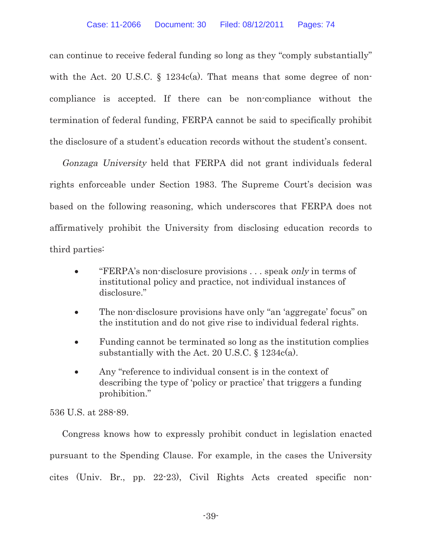can continue to receive federal funding so long as they "comply substantially" with the Act. 20 U.S.C. § 1234c(a). That means that some degree of noncompliance is accepted. If there can be non-compliance without the termination of federal funding, FERPA cannot be said to specifically prohibit the disclosure of a student's education records without the student's consent.

Gonzaga University held that FERPA did not grant individuals federal rights enforceable under Section 1983. The Supreme Court's decision was based on the following reasoning, which underscores that FERPA does not affirmatively prohibit the University from disclosing education records to third parties:

- "FERPA's non-disclosure provisions . . . speak only in terms of institutional policy and practice, not individual instances of disclosure."
- The non-disclosure provisions have only "an 'aggregate' focus" on the institution and do not give rise to individual federal rights.
- Funding cannot be terminated so long as the institution complies substantially with the Act. 20 U.S.C.  $\S$  1234c(a).
- Any "reference to individual consent is in the context of describing the type of 'policy or practice' that triggers a funding prohibition."

536 U.S. at 288-89.

Congress knows how to expressly prohibit conduct in legislation enacted pursuant to the Spending Clause. For example, in the cases the University cites (Univ. Br., pp. 22-23), Civil Rights Acts created specific non-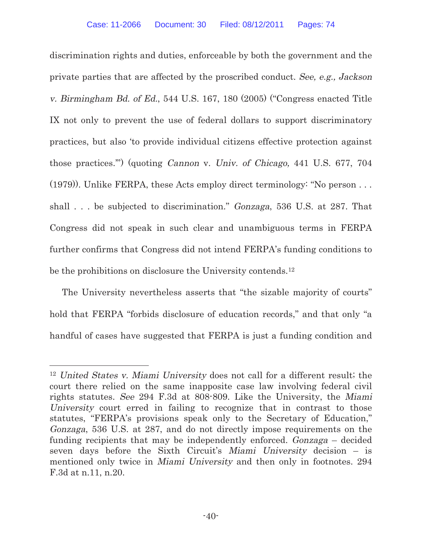discrimination rights and duties, enforceable by both the government and the private parties that are affected by the proscribed conduct. See, e.g., Jackson v. Birmingham Bd. of Ed., 544 U.S. 167, 180 (2005) ("Congress enacted Title IX not only to prevent the use of federal dollars to support discriminatory practices, but also 'to provide individual citizens effective protection against those practices.'") (quoting Cannon v. Univ. of Chicago, 441 U.S. 677, 704 (1979)). Unlike FERPA, these Acts employ direct terminology: "No person . . . shall . . . be subjected to discrimination." Gonzaga, 536 U.S. at 287. That Congress did not speak in such clear and unambiguous terms in FERPA further confirms that Congress did not intend FERPA's funding conditions to be the prohibitions on disclosure the University contends.<sup>12</sup>

The University nevertheless asserts that "the sizable majority of courts" hold that FERPA "forbids disclosure of education records," and that only "a handful of cases have suggested that FERPA is just a funding condition and

<sup>12</sup> United States v. Miami University does not call for a different result; the court there relied on the same inapposite case law involving federal civil rights statutes. See 294 F.3d at 808-809. Like the University, the Miami University court erred in failing to recognize that in contrast to those statutes, "FERPA's provisions speak only to the Secretary of Education," Gonzaga, 536 U.S. at 287, and do not directly impose requirements on the funding recipients that may be independently enforced. Gonzaga – decided seven days before the Sixth Circuit's Miami University decision – is mentioned only twice in Miami University and then only in footnotes. 294 F.3d at n.11, n.20.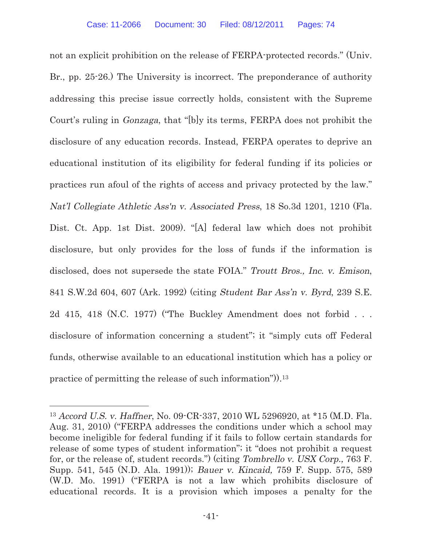not an explicit prohibition on the release of FERPA-protected records." (Univ. Br., pp. 25-26.) The University is incorrect. The preponderance of authority addressing this precise issue correctly holds, consistent with the Supreme Court's ruling in Gonzaga, that "[b]y its terms, FERPA does not prohibit the disclosure of any education records. Instead, FERPA operates to deprive an educational institution of its eligibility for federal funding if its policies or practices run afoul of the rights of access and privacy protected by the law." Nat'l Collegiate Athletic Ass'n v. Associated Press, 18 So.3d 1201, 1210 (Fla. Dist. Ct. App. 1st Dist. 2009). "[A] federal law which does not prohibit disclosure, but only provides for the loss of funds if the information is disclosed, does not supersede the state FOIA." Troutt Bros., Inc. v. Emison, 841 S.W.2d 604, 607 (Ark. 1992) (citing Student Bar Ass'n v. Byrd, 239 S.E. 2d 415, 418 (N.C. 1977) ("The Buckley Amendment does not forbid . . . disclosure of information concerning a student"; it "simply cuts off Federal funds, otherwise available to an educational institution which has a policy or practice of permitting the release of such information")).<sup>13</sup>

<sup>13</sup> Accord U.S. v. Haffner, No. 09-CR-337, 2010 WL 5296920, at \*15 (M.D. Fla. Aug. 31, 2010) ("FERPA addresses the conditions under which a school may become ineligible for federal funding if it fails to follow certain standards for release of some types of student information"; it "does not prohibit a request for, or the release of, student records.") (citing Tombrello v. USX Corp., 763 F. Supp. 541, 545 (N.D. Ala. 1991)); Bauer v. Kincaid, 759 F. Supp. 575, 589 (W.D. Mo. 1991) ("FERPA is not a law which prohibits disclosure of educational records. It is a provision which imposes a penalty for the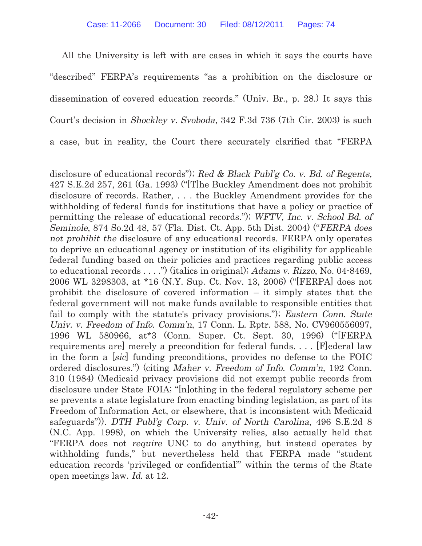All the University is left with are cases in which it says the courts have "described" FERPA's requirements "as a prohibition on the disclosure or dissemination of covered education records." (Univ. Br., p. 28.) It says this Court's decision in Shockley v. Svoboda, 342 F.3d 736 (7th Cir. 2003) is such a case, but in reality, the Court there accurately clarified that "FERPA

disclosure of educational records"); Red & Black Publ'g Co. v. Bd. of Regents, 427 S.E.2d 257, 261 (Ga. 1993) ("[T]he Buckley Amendment does not prohibit disclosure of records. Rather, . . . the Buckley Amendment provides for the withholding of federal funds for institutions that have a policy or practice of permitting the release of educational records."); WFTV, Inc. v. School Bd. of Seminole, 874 So.2d 48, 57 (Fla. Dist. Ct. App. 5th Dist. 2004) ("FERPA does not prohibit the disclosure of any educational records. FERPA only operates to deprive an educational agency or institution of its eligibility for applicable federal funding based on their policies and practices regarding public access to educational records . . . .") (italics in original); Adams v. Rizzo, No. 04-8469, 2006 WL 3298303, at \*16 (N.Y. Sup. Ct. Nov. 13, 2006) ("[FERPA] does not prohibit the disclosure of covered information – it simply states that the federal government will not make funds available to responsible entities that fail to comply with the statute's privacy provisions."); Eastern Conn. State Univ. v. Freedom of Info. Comm'n, 17 Conn. L. Rptr. 588, No. CV960556097, 1996 WL 580966, at\*3 (Conn. Super. Ct. Sept. 30, 1996) ("[FERPA requirements are] merely a precondition for federal funds. . . . [F]ederal law in the form a [sic] funding preconditions, provides no defense to the FOIC ordered disclosures.") (citing Maher v. Freedom of Info. Comm'n, 192 Conn. 310 (1984) (Medicaid privacy provisions did not exempt public records from disclosure under State FOIA; "[n]othing in the federal regulatory scheme per se prevents a state legislature from enacting binding legislation, as part of its Freedom of Information Act, or elsewhere, that is inconsistent with Medicaid safeguards")). DTH Publ'g Corp. v. Univ. of North Carolina, 496 S.E.2d 8 (N.C. App. 1998), on which the University relies, also actually held that "FERPA does not require UNC to do anything, but instead operates by withholding funds," but nevertheless held that FERPA made "student education records 'privileged or confidential'" within the terms of the State open meetings law. Id. at 12.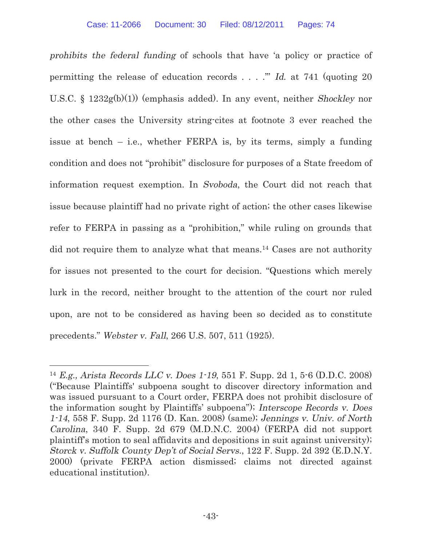prohibits the federal funding of schools that have 'a policy or practice of permitting the release of education records  $\dots$ ." Id. at 741 (quoting 20) U.S.C. § 1232g(b)(1)) (emphasis added). In any event, neither Shockley nor the other cases the University string-cites at footnote 3 ever reached the issue at bench – i.e., whether FERPA is, by its terms, simply a funding condition and does not "prohibit" disclosure for purposes of a State freedom of information request exemption. In Svoboda, the Court did not reach that issue because plaintiff had no private right of action; the other cases likewise refer to FERPA in passing as a "prohibition," while ruling on grounds that did not require them to analyze what that means.<sup>14</sup> Cases are not authority for issues not presented to the court for decision. "Questions which merely lurk in the record, neither brought to the attention of the court nor ruled upon, are not to be considered as having been so decided as to constitute precedents." Webster v. Fall, 266 U.S. 507, 511 (1925).

<sup>14</sup> E.g., Arista Records LLC v. Does 1-19, 551 F. Supp. 2d 1, 5-6 (D.D.C. 2008) ("Because Plaintiffs' subpoena sought to discover directory information and was issued pursuant to a Court order, FERPA does not prohibit disclosure of the information sought by Plaintiffs' subpoena"); Interscope Records v. Does 1-14, 558 F. Supp. 2d 1176 (D. Kan. 2008) (same); Jennings v. Univ. of North Carolina, 340 F. Supp. 2d 679 (M.D.N.C. 2004) (FERPA did not support plaintiff's motion to seal affidavits and depositions in suit against university); Storck v. Suffolk County Dep't of Social Servs., 122 F. Supp. 2d 392 (E.D.N.Y. 2000) (private FERPA action dismissed; claims not directed against educational institution).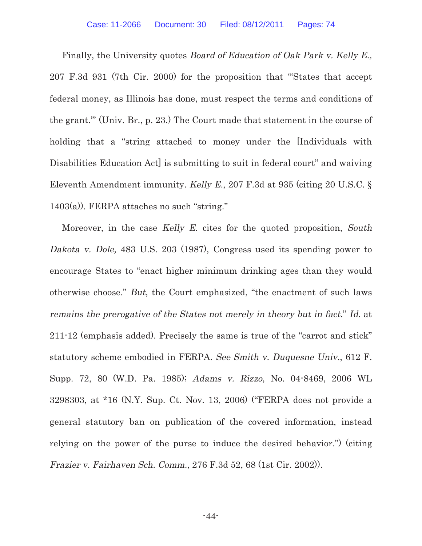Finally, the University quotes Board of Education of Oak Park v. Kelly E., 207 F.3d 931 (7th Cir. 2000) for the proposition that "'States that accept federal money, as Illinois has done, must respect the terms and conditions of the grant.'" (Univ. Br., p. 23.) The Court made that statement in the course of holding that a "string attached to money under the [Individuals with Disabilities Education Act is submitting to suit in federal court" and waiving Eleventh Amendment immunity. Kelly E., 207 F.3d at 935 (citing 20 U.S.C. § 1403(a)). FERPA attaches no such "string."

Moreover, in the case Kelly E. cites for the quoted proposition, South Dakota v. Dole, 483 U.S. 203 (1987), Congress used its spending power to encourage States to "enact higher minimum drinking ages than they would otherwise choose." But, the Court emphasized, "the enactment of such laws remains the prerogative of the States not merely in theory but in fact." Id. at 211-12 (emphasis added). Precisely the same is true of the "carrot and stick" statutory scheme embodied in FERPA. See Smith v. Duquesne Univ., 612 F. Supp. 72, 80 (W.D. Pa. 1985); Adams v. Rizzo, No. 04-8469, 2006 WL 3298303, at \*16 (N.Y. Sup. Ct. Nov. 13, 2006) ("FERPA does not provide a general statutory ban on publication of the covered information, instead relying on the power of the purse to induce the desired behavior.") (citing Frazier v. Fairhaven Sch. Comm., 276 F.3d 52, 68 (1st Cir. 2002)).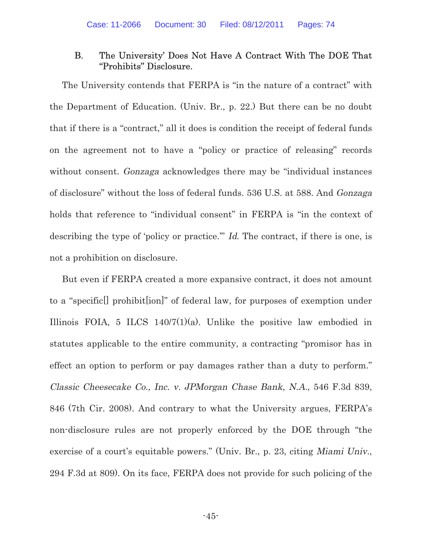## B. The University' Does Not Have A Contract With The DOE That "Prohibits" Disclosure.

The University contends that FERPA is "in the nature of a contract" with the Department of Education. (Univ. Br., p. 22.) But there can be no doubt that if there is a "contract," all it does is condition the receipt of federal funds on the agreement not to have a "policy or practice of releasing" records without consent. Gonzaga acknowledges there may be "individual instances of disclosure" without the loss of federal funds. 536 U.S. at 588. And Gonzaga holds that reference to "individual consent" in FERPA is "in the context of describing the type of 'policy or practice.'" Id. The contract, if there is one, is not a prohibition on disclosure.

But even if FERPA created a more expansive contract, it does not amount to a "specific[] prohibit[ion]" of federal law, for purposes of exemption under Illinois FOIA, 5 ILCS  $140/7(1)(a)$ . Unlike the positive law embodied in statutes applicable to the entire community, a contracting "promisor has in effect an option to perform or pay damages rather than a duty to perform." Classic Cheesecake Co., Inc. v. JPMorgan Chase Bank, N.A., 546 F.3d 839, 846 (7th Cir. 2008). And contrary to what the University argues, FERPA's non-disclosure rules are not properly enforced by the DOE through "the exercise of a court's equitable powers." (Univ. Br., p. 23, citing Miami Univ., 294 F.3d at 809). On its face, FERPA does not provide for such policing of the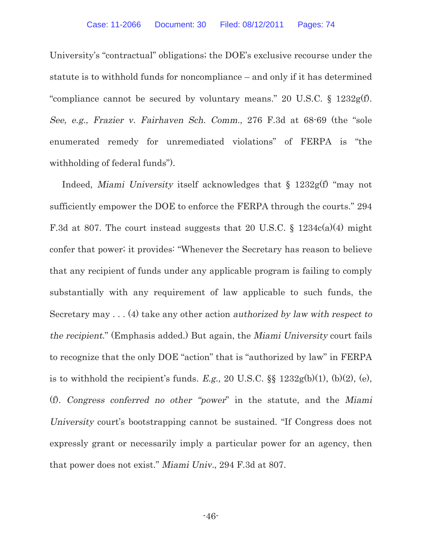University's "contractual" obligations; the DOE's exclusive recourse under the statute is to withhold funds for noncompliance – and only if it has determined "compliance cannot be secured by voluntary means." 20 U.S.C.  $\S$  1232g(f). See, e.g., Frazier v. Fairhaven Sch. Comm., 276 F.3d at 68-69 (the "sole enumerated remedy for unremediated violations" of FERPA is "the withholding of federal funds").

Indeed, Miami University itself acknowledges that § 1232g(f) "may not sufficiently empower the DOE to enforce the FERPA through the courts." 294 F.3d at 807. The court instead suggests that 20 U.S.C. § 1234c(a)(4) might confer that power; it provides: "Whenever the Secretary has reason to believe that any recipient of funds under any applicable program is failing to comply substantially with any requirement of law applicable to such funds, the Secretary may  $\dots$  (4) take any other action *authorized by law with respect to* the recipient." (Emphasis added.) But again, the Miami University court fails to recognize that the only DOE "action" that is "authorized by law" in FERPA is to withhold the recipient's funds. E.g., 20 U.S.C.  $\S$  1232g(b)(1), (b)(2), (e), (f). Congress conferred no other "power" in the statute, and the Miami University court's bootstrapping cannot be sustained. "If Congress does not expressly grant or necessarily imply a particular power for an agency, then that power does not exist." Miami Univ., 294 F.3d at 807.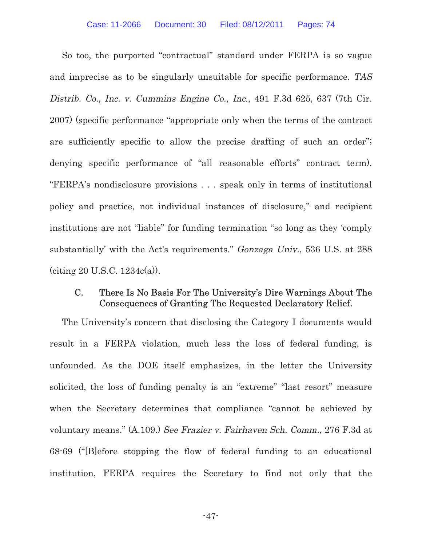So too, the purported "contractual" standard under FERPA is so vague and imprecise as to be singularly unsuitable for specific performance. TAS Distrib. Co., Inc. v. Cummins Engine Co., Inc., 491 F.3d 625, 637 (7th Cir. 2007) (specific performance "appropriate only when the terms of the contract are sufficiently specific to allow the precise drafting of such an order"; denying specific performance of "all reasonable efforts" contract term). "FERPA's nondisclosure provisions . . . speak only in terms of institutional policy and practice, not individual instances of disclosure," and recipient institutions are not "liable" for funding termination "so long as they 'comply substantially' with the Act's requirements." Gonzaga Univ., 536 U.S. at 288  $(citing 20 U.S.C. 1234c(a)).$ 

## C. There Is No Basis For The University's Dire Warnings About The Consequences of Granting The Requested Declaratory Relief.

The University's concern that disclosing the Category I documents would result in a FERPA violation, much less the loss of federal funding, is unfounded. As the DOE itself emphasizes, in the letter the University solicited, the loss of funding penalty is an "extreme" "last resort" measure when the Secretary determines that compliance "cannot be achieved by voluntary means." (A.109.) See Frazier v. Fairhaven Sch. Comm., 276 F.3d at 68-69 ("[B]efore stopping the flow of federal funding to an educational institution, FERPA requires the Secretary to find not only that the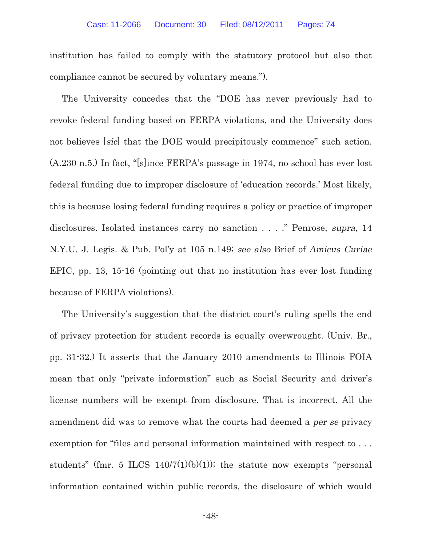institution has failed to comply with the statutory protocol but also that compliance cannot be secured by voluntary means.").

The University concedes that the "DOE has never previously had to revoke federal funding based on FERPA violations, and the University does not believes [sic] that the DOE would precipitously commence" such action. (A.230 n.5.) In fact, "[s]ince FERPA's passage in 1974, no school has ever lost federal funding due to improper disclosure of 'education records.' Most likely, this is because losing federal funding requires a policy or practice of improper disclosures. Isolated instances carry no sanction . . . ." Penrose, supra, 14 N.Y.U. J. Legis. & Pub. Pol'y at 105 n.149; see also Brief of Amicus Curiae EPIC, pp. 13, 15-16 (pointing out that no institution has ever lost funding because of FERPA violations).

The University's suggestion that the district court's ruling spells the end of privacy protection for student records is equally overwrought. (Univ. Br., pp. 31-32.) It asserts that the January 2010 amendments to Illinois FOIA mean that only "private information" such as Social Security and driver's license numbers will be exempt from disclosure. That is incorrect. All the amendment did was to remove what the courts had deemed a per se privacy exemption for "files and personal information maintained with respect to . . . students" (fmr. 5 ILCS  $140/7(1)(b)(1)$ ); the statute now exempts "personal information contained within public records, the disclosure of which would

-48-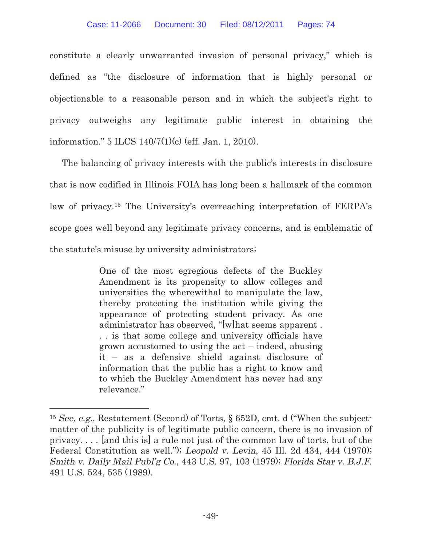constitute a clearly unwarranted invasion of personal privacy," which is defined as "the disclosure of information that is highly personal or objectionable to a reasonable person and in which the subject's right to privacy outweighs any legitimate public interest in obtaining the information." 5 ILCS 140/7(1)(c) (eff. Jan. 1, 2010).

The balancing of privacy interests with the public's interests in disclosure that is now codified in Illinois FOIA has long been a hallmark of the common law of privacy.15 The University's overreaching interpretation of FERPA's scope goes well beyond any legitimate privacy concerns, and is emblematic of the statute's misuse by university administrators;

> One of the most egregious defects of the Buckley Amendment is its propensity to allow colleges and universities the wherewithal to manipulate the law, thereby protecting the institution while giving the appearance of protecting student privacy. As one administrator has observed, "[w]hat seems apparent . . . is that some college and university officials have grown accustomed to using the act – indeed, abusing it – as a defensive shield against disclosure of information that the public has a right to know and to which the Buckley Amendment has never had any relevance."

<sup>15</sup> See, e.g., Restatement (Second) of Torts, § 652D, cmt. d ("When the subjectmatter of the publicity is of legitimate public concern, there is no invasion of privacy. . . . [and this is] a rule not just of the common law of torts, but of the Federal Constitution as well."); Leopold v. Levin, 45 Ill. 2d 434, 444 (1970); Smith v. Daily Mail Publ'g Co., 443 U.S. 97, 103 (1979); Florida Star v. B.J.F. 491 U.S. 524, 535 (1989).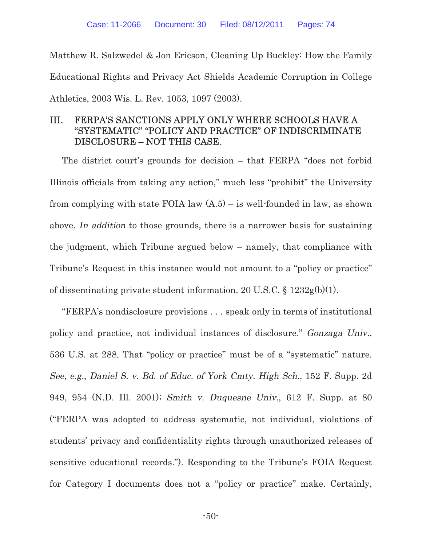Matthew R. Salzwedel & Jon Ericson, Cleaning Up Buckley: How the Family Educational Rights and Privacy Act Shields Academic Corruption in College Athletics, 2003 Wis. L. Rev. 1053, 1097 (2003).

# III. FERPA'S SANCTIONS APPLY ONLY WHERE SCHOOLS HAVE A "SYSTEMATIC" "POLICY AND PRACTICE" OF INDISCRIMINATE DISCLOSURE – NOT THIS CASE.

The district court's grounds for decision – that FERPA "does not forbid Illinois officials from taking any action," much less "prohibit" the University from complying with state FOIA law  $(A.5)$  – is well-founded in law, as shown above. In addition to those grounds, there is a narrower basis for sustaining the judgment, which Tribune argued below – namely, that compliance with Tribune's Request in this instance would not amount to a "policy or practice" of disseminating private student information. 20 U.S.C. § 1232g(b)(1).

"FERPA's nondisclosure provisions . . . speak only in terms of institutional policy and practice, not individual instances of disclosure." Gonzaga Univ., 536 U.S. at 288. That "policy or practice" must be of a "systematic" nature. See, e.g., Daniel S. v. Bd. of Educ. of York Cmty. High Sch., 152 F. Supp. 2d 949, 954 (N.D. Ill. 2001); Smith v. Duquesne Univ., 612 F. Supp. at 80 ("FERPA was adopted to address systematic, not individual, violations of students' privacy and confidentiality rights through unauthorized releases of sensitive educational records."). Responding to the Tribune's FOIA Request for Category I documents does not a "policy or practice" make. Certainly,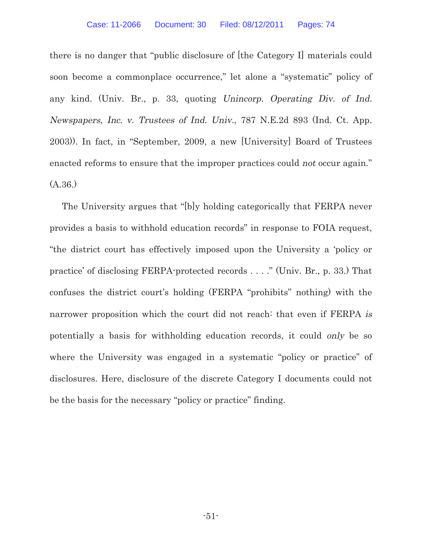there is no danger that "public disclosure of [the Category I] materials could soon become a commonplace occurrence," let alone a "systematic" policy of any kind. (Univ. Br., p. 33, quoting Unincorp. Operating Div. of Ind. Newspapers, Inc. v. Trustees of Ind. Univ., 787 N.E.2d 893 (Ind. Ct. App. 2003)). In fact, in "September, 2009, a new [University] Board of Trustees enacted reforms to ensure that the improper practices could not occur again." (A.36.)

The University argues that "[b]y holding categorically that FERPA never provides a basis to withhold education records" in response to FOIA request, "the district court has effectively imposed upon the University a 'policy or practice' of disclosing FERPA-protected records . . . ." (Univ. Br., p. 33.) That confuses the district court's holding (FERPA "prohibits" nothing) with the narrower proposition which the court did not reach: that even if FERPA is potentially a basis for withholding education records, it could only be so where the University was engaged in a systematic "policy or practice" of disclosures. Here, disclosure of the discrete Category I documents could not be the basis for the necessary "policy or practice" finding.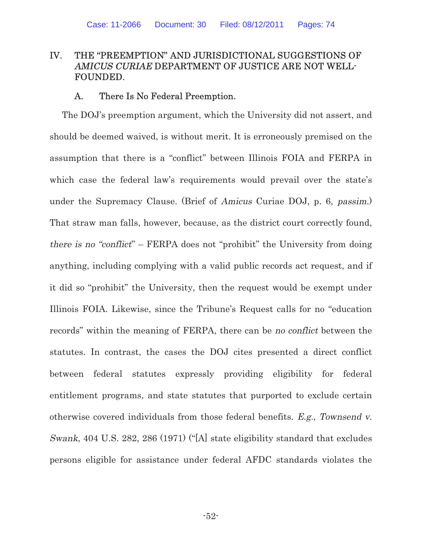# IV. THE "PREEMPTION" AND JURISDICTIONAL SUGGESTIONS OF AMICUS CURIAE DEPARTMENT OF JUSTICE ARE NOT WELL-FOUNDED.

### A. There Is No Federal Preemption.

The DOJ's preemption argument, which the University did not assert, and should be deemed waived, is without merit. It is erroneously premised on the assumption that there is a "conflict" between Illinois FOIA and FERPA in which case the federal law's requirements would prevail over the state's under the Supremacy Clause. (Brief of Amicus Curiae DOJ, p. 6, passim.) That straw man falls, however, because, as the district court correctly found, there is no "conflict" – FERPA does not "prohibit" the University from doing anything, including complying with a valid public records act request, and if it did so "prohibit" the University, then the request would be exempt under Illinois FOIA. Likewise, since the Tribune's Request calls for no "education records" within the meaning of FERPA, there can be no conflict between the statutes. In contrast, the cases the DOJ cites presented a direct conflict between federal statutes expressly providing eligibility for federal entitlement programs, and state statutes that purported to exclude certain otherwise covered individuals from those federal benefits. E.g., Townsend v. Swank, 404 U.S. 282, 286 (1971) ("[A] state eligibility standard that excludes persons eligible for assistance under federal AFDC standards violates the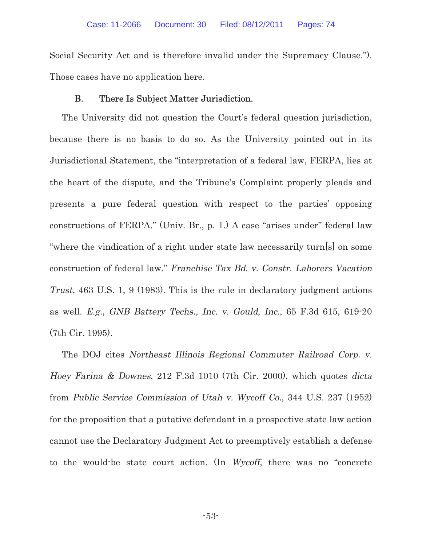Social Security Act and is therefore invalid under the Supremacy Clause."). Those cases have no application here.

### B. There Is Subject Matter Jurisdiction.

The University did not question the Court's federal question jurisdiction, because there is no basis to do so. As the University pointed out in its Jurisdictional Statement, the "interpretation of a federal law, FERPA, lies at the heart of the dispute, and the Tribune's Complaint properly pleads and presents a pure federal question with respect to the parties' opposing constructions of FERPA." (Univ. Br., p. 1.) A case "arises under" federal law "where the vindication of a right under state law necessarily turn[s] on some construction of federal law." Franchise Tax Bd. v. Constr. Laborers Vacation Trust, 463 U.S. 1, 9 (1983). This is the rule in declaratory judgment actions as well. E.g., GNB Battery Techs., Inc. v. Gould, Inc., 65 F.3d 615, 619-20 (7th Cir. 1995).

The DOJ cites Northeast Illinois Regional Commuter Railroad Corp. v. Hoey Farina & Downes, 212 F.3d 1010 (7th Cir. 2000), which quotes dicta from Public Service Commission of Utah v. Wycoff Co., 344 U.S. 237 (1952) for the proposition that a putative defendant in a prospective state law action cannot use the Declaratory Judgment Act to preemptively establish a defense to the would-be state court action. (In Wycoff, there was no "concrete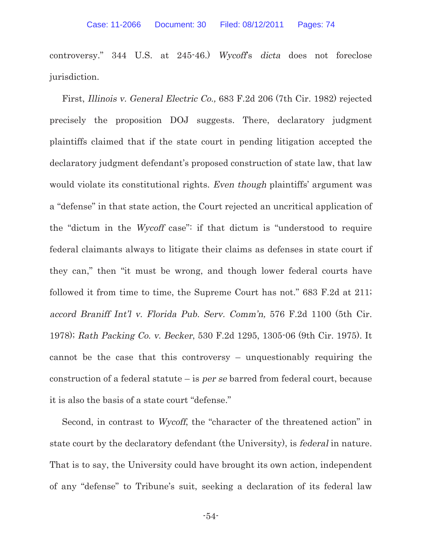controversy." 344 U.S. at 245-46.) Wycoff's dicta does not foreclose jurisdiction.

First, Illinois v. General Electric Co., 683 F.2d 206 (7th Cir. 1982) rejected precisely the proposition DOJ suggests. There, declaratory judgment plaintiffs claimed that if the state court in pending litigation accepted the declaratory judgment defendant's proposed construction of state law, that law would violate its constitutional rights. Even though plaintiffs' argument was a "defense" in that state action, the Court rejected an uncritical application of the "dictum in the Wycoff case": if that dictum is "understood to require federal claimants always to litigate their claims as defenses in state court if they can," then "it must be wrong, and though lower federal courts have followed it from time to time, the Supreme Court has not." 683 F.2d at 211; accord Braniff Int'l v. Florida Pub. Serv. Comm'n, 576 F.2d 1100 (5th Cir. 1978); Rath Packing Co. v. Becker, 530 F.2d 1295, 1305-06 (9th Cir. 1975). It cannot be the case that this controversy – unquestionably requiring the construction of a federal statute – is *per se* barred from federal court, because it is also the basis of a state court "defense."

Second, in contrast to Wycoff, the "character of the threatened action" in state court by the declaratory defendant (the University), is federal in nature. That is to say, the University could have brought its own action, independent of any "defense" to Tribune's suit, seeking a declaration of its federal law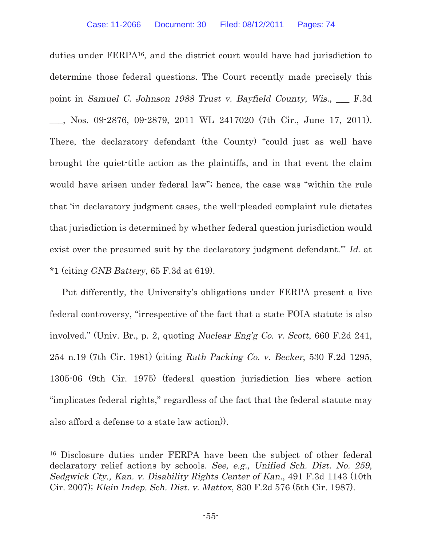duties under FERPA16, and the district court would have had jurisdiction to determine those federal questions. The Court recently made precisely this point in Samuel C. Johnson 1988 Trust v. Bayfield County, Wis., \_\_\_ F.3d \_\_\_, Nos. 09-2876, 09-2879, 2011 WL 2417020 (7th Cir., June 17, 2011). There, the declaratory defendant (the County) "could just as well have brought the quiet-title action as the plaintiffs, and in that event the claim would have arisen under federal law"; hence, the case was "within the rule that 'in declaratory judgment cases, the well-pleaded complaint rule dictates that jurisdiction is determined by whether federal question jurisdiction would exist over the presumed suit by the declaratory judgment defendant." Id. at \*1 (citing GNB Battery, 65 F.3d at 619).

Put differently, the University's obligations under FERPA present a live federal controversy, "irrespective of the fact that a state FOIA statute is also involved." (Univ. Br., p. 2, quoting Nuclear Eng'g Co. v. Scott, 660 F.2d 241, 254 n.19 (7th Cir. 1981) (citing Rath Packing Co. v. Becker, 530 F.2d 1295, 1305-06 (9th Cir. 1975) (federal question jurisdiction lies where action "implicates federal rights," regardless of the fact that the federal statute may also afford a defense to a state law action)).

<sup>16</sup> Disclosure duties under FERPA have been the subject of other federal declaratory relief actions by schools. See, e.g., Unified Sch. Dist. No. 259, Sedgwick Cty., Kan. v. Disability Rights Center of Kan., 491 F.3d 1143 (10th Cir. 2007); Klein Indep. Sch. Dist. v. Mattox, 830 F.2d 576 (5th Cir. 1987).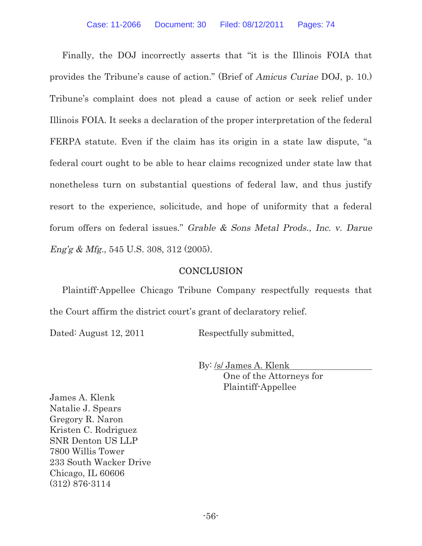Finally, the DOJ incorrectly asserts that "it is the Illinois FOIA that provides the Tribune's cause of action." (Brief of Amicus Curiae DOJ, p. 10.) Tribune's complaint does not plead a cause of action or seek relief under Illinois FOIA. It seeks a declaration of the proper interpretation of the federal FERPA statute. Even if the claim has its origin in a state law dispute, "a federal court ought to be able to hear claims recognized under state law that nonetheless turn on substantial questions of federal law, and thus justify resort to the experience, solicitude, and hope of uniformity that a federal forum offers on federal issues." Grable & Sons Metal Prods., Inc. v. Darue Eng'g & Mfg., 545 U.S. 308, 312 (2005).

# **CONCLUSION**

Plaintiff-Appellee Chicago Tribune Company respectfully requests that the Court affirm the district court's grant of declaratory relief.

Dated: August 12, 2011 Respectfully submitted,

By: /s/ James A. Klenk One of the Attorneys for Plaintiff-Appellee

James A. Klenk Natalie J. Spears Gregory R. Naron Kristen C. Rodriguez SNR Denton US LLP 7800 Willis Tower 233 South Wacker Drive Chicago, IL 60606 (312) 876-3114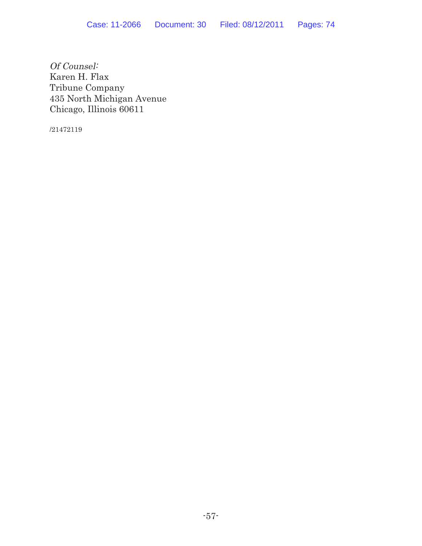Of Counsel: Karen H. Flax Tribune Company 435 North Michigan Avenue Chicago, Illinois 60611

/21472119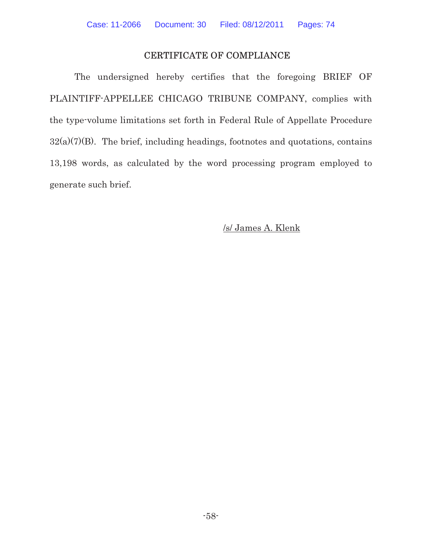## CERTIFICATE OF COMPLIANCE

The undersigned hereby certifies that the foregoing BRIEF OF PLAINTIFF-APPELLEE CHICAGO TRIBUNE COMPANY, complies with the type-volume limitations set forth in Federal Rule of Appellate Procedure  $32(a)(7)(B)$ . The brief, including headings, footnotes and quotations, contains 13,198 words, as calculated by the word processing program employed to generate such brief.

## /s/ James A. Klenk